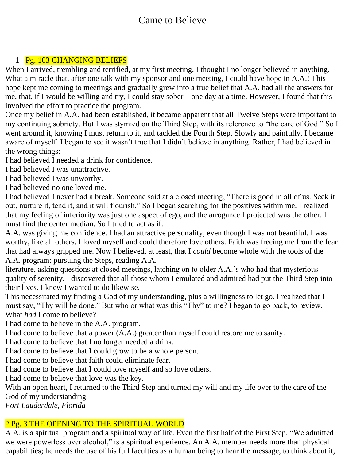# Came to Believe

# 1 Pg. 103 CHANGING BELIEFS

When I arrived, trembling and terrified, at my first meeting, I thought I no longer believed in anything. What a miracle that, after one talk with my sponsor and one meeting, I could have hope in A.A.! This hope kept me coming to meetings and gradually grew into a true belief that A.A. had all the answers for me, that, if I would be willing and try, I could stay sober—one day at a time. However, I found that this involved the effort to practice the program.

Once my belief in A.A. had been established, it became apparent that all Twelve Steps were important to my continuing sobriety. But I was stymied on the Third Step, with its reference to "the care of God." So I went around it, knowing I must return to it, and tackled the Fourth Step. Slowly and painfully, I became aware of myself. I began to see it wasn't true that I didn't believe in anything. Rather, I had believed in the wrong things:

I had believed I needed a drink for confidence.

I had believed I was unattractive.

I had believed I was unworthy.

I had believed no one loved me.

I had believed I never had a break. Someone said at a closed meeting, "There is good in all of us. Seek it out, nurture it, tend it, and it will flourish." So I began searching for the positives within me. I realized that my feeling of inferiority was just one aspect of ego, and the arrogance I projected was the other. I must find the center median. So I tried to act as if:

A.A. was giving me confidence. I had an attractive personality, even though I was not beautiful. I was worthy, like all others. I loved myself and could therefore love others. Faith was freeing me from the fear that had always gripped me. Now I believed, at least, that I *could* become whole with the tools of the A.A. program: pursuing the Steps, reading A.A.

literature, asking questions at closed meetings, latching on to older A.A.'s who had that mysterious quality of serenity. I discovered that all those whom I emulated and admired had put the Third Step into their lives. I knew I wanted to do likewise.

This necessitated my finding a God of my understanding, plus a willingness to let go. I realized that I must say, "Thy will be done." But who or what was this "Thy" to me? I began to go back, to review. What *had* I come to believe?

I had come to believe in the A.A. program.

I had come to believe that a power (A.A.) greater than myself could restore me to sanity.

I had come to believe that I no longer needed a drink.

I had come to believe that I could grow to be a whole person.

I had come to believe that faith could eliminate fear.

I had come to believe that I could love myself and so love others.

I had come to believe that love was the key.

With an open heart, I returned to the Third Step and turned my will and my life over to the care of the God of my understanding.

*Fort Lauderdale, Florida* 

# 2 Pg. 3 THE OPENING TO THE SPIRITUAL WORLD

A.A. is a spiritual program and a spiritual way of life. Even the first half of the First Step, "We admitted we were powerless over alcohol," is a spiritual experience. An A.A. member needs more than physical capabilities; he needs the use of his full faculties as a human being to hear the message, to think about it,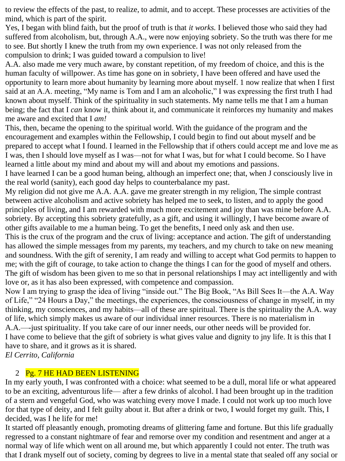to review the effects of the past, to realize, to admit, and to accept. These processes are activities of the mind, which is part of the spirit.

Yes, I began with blind faith, but the proof of truth is that *it works.* I believed those who said they had suffered from alcoholism, but, through A.A., were now enjoying sobriety. So the truth was there for me to see. But shortly I knew the truth from my own experience. I was not only released from the compulsion to drink; I was guided toward a compulsion to live!

A.A. also made me very much aware, by constant repetition, of my freedom of choice, and this is the human faculty of willpower. As time has gone on in sobriety, I have been offered and have used the opportunity to learn more about humanity by learning more about myself. 1 now realize that when I first said at an A.A. meeting, "My name is Tom and I am an alcoholic," I was expressing the first truth I had known about myself. Think of the spirituality in such statements. My name tells me that I am a human being; the fact that I *can* know it, think about it, and communicate it reinforces my humanity and makes me aware and excited that I *am!* 

This, then, became the opening to the spiritual world. With the guidance of the program and the encouragement and examples within the Fellowship, I could begin to find out about myself and be prepared to accept what I found. I learned in the Fellowship that if others could accept me and love me as I was, then I should love myself as I was—not for what I was, but for what I could become. So I have learned a little about my mind and about my will and about my emotions and passions.

I have learned I can be a good human being, although an imperfect one; that, when J consciously live in the real world (sanity), each good day helps to counterbalance my past.

My religion did not give me A.A. A.A. gave me greater strength in my religion, The simple contrast between active alcoholism and active sobriety has helped me to seek, to listen, and to apply the good principles of living, and I am rewarded with much more excitement and joy than was mine before A.A. sobriety. By accepting this sobriety gratefully, as a gift, and using it willingly, I have become aware of other gifts available to me a human being. To get the benefits, I need only ask and then use.

This is the crux of the program and the crux of living: acceptance and action. The gift of understanding has allowed the simple messages from my parents, my teachers, and my church to take on new meaning and soundness. With the gift of serenity, I am ready and willing to accept what God permits to happen to me; with the gift of courage, to take action to change the things I can for the good of myself and others. The gift of wisdom has been given to me so that in personal relationships I may act intelligently and with love or, as it has also been expressed, with competence and compassion.

Now I am trying to grasp the idea of living "inside out." The Big Book, "As Bill Sees It—the A.A. Way of Life," "24 Hours a Day," the meetings, the experiences, the consciousness of change in myself, in my thinking, my consciences, and my habits—all of these are spiritual. There is the spirituality the A.A. way of life, which simply makes us aware of our individual inner resources. There is no materialism in A.A.—-just spirituality. If you take care of our inner needs, our other needs will be provided for. I have come to believe that the gift of sobriety is what gives value and dignity to jny life. It is this that I

have to share, and it grows as it is shared.

*El Cerrito, California* 

# 2 Pg. 7 HE HAD BEEN LISTENING

In my early youth, I was confronted with a choice: what seemed to be a dull, moral life or what appeared to be an exciting, adventurous life— after a few drinks of alcohol. I had been brought up in the tradition of a stern and vengeful God, who was watching every move I made. I could not work up too much love for that type of deity, and I felt guilty about it. But after a drink or two, I would forget my guilt. This, I decided, was I he life for me!

It started off pleasantly enough, promoting dreams of glittering fame and fortune. But this life gradually regressed to a constant nightmare of fear and remorse over my condition and resentment and anger at a normal way of life which went on all around me, but which apparently I could not enter. The truth was that I drank myself out of society, coming by degrees to live in a mental state that sealed off any social or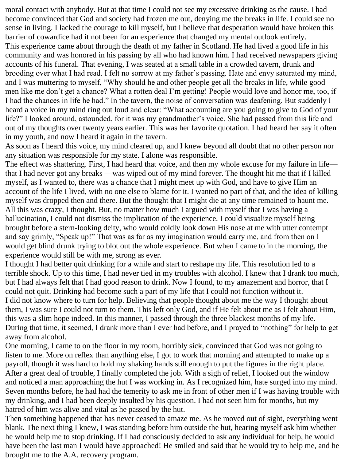moral contact with anybody. But at that time I could not see my excessive drinking as the cause. I had become convinced that God and society had frozen me out, denying me the breaks in life. I could see no sense in living. I lacked the courage to kill myself, but I believe that desperation would have broken this barrier of cowardice had it not been for an experience that changed my mental outlook entirely. This experience came about through the death of my father in Scotland. He had lived a good life in his community and was honored in his passing by all who had known him. I had received newspapers giving accounts of his funeral. That evening, I was seated at a small table in a crowded tavern, drunk and brooding over what I had read. I felt no sorrow at my father's passing. Hate and envy saturated my mind, and I was muttering to myself, "Why should he and other people get all the breaks in life, while good men like me don't get a chance? What a rotten deal I'm getting! People would love and honor me, too, if I had the chances in life he had." In the tavern, the noise of conversation was deafening. But suddenly I heard a voice in my mind ring out loud and clear: "What accounting are you going to give to God of your life?" I looked around, astounded, for it was my grandmother's voice. She had passed from this life and out of my thoughts over twenty years earlier. This was her favorite quotation. I had heard her say it often in my youth, and now I heard it again in the tavern.

As soon as I heard this voice, my mind cleared up, and I knew beyond all doubt that no other person nor any situation was responsible for my state. I alone was responsible.

The effect was shattering. First, I had heard that voice, and then my whole excuse for my failure in life that I had never got any breaks —was wiped out of my mind forever. The thought hit me that if I killed myself, as I wanted to, there was a chance that I might meet up with God, and have to give Him an account of the life I lived, with no one else to blame for it. I wanted no part of that, and the idea of killing myself was dropped then and there. But the thought that I might die at any time remained to haunt me. All this was crazy, I thought. But, no matter how much I argued with myself that I was having a hallucination, I could not dismiss the implication of the experience. I could visualize myself being brought before a stern-looking deity, who would coldly look down His nose at me with utter contempt and say grimly, "Speak up!" That was as far as my imagination would carry me, and from then on I would get blind drunk trying to blot out the whole experience. But when I came to in the morning, the experience would still be with me, strong as ever.

I thought I had better quit drinking for a while and start to reshape my life. This resolution led to a terrible shock. Up to this time, I had never tied in my troubles with alcohol. I knew that I drank too much, but I had always felt that I had good reason to drink. Now I found, to my amazement and horror, that I could not quit. Drinking had become such a part of my life that I could not function without it. I did not know where to turn for help. Believing that people thought about me the way I thought about them, I was sure I could not turn to them. This left only God, and if He felt about me as I felt about Him, this was a slim hope indeed. In this manner, I passed through the three blackest months of my life. During that time, it seemed, I drank more than I ever had before, and I prayed to "nothing" for help to get away from alcohol.

One morning, I came to on the floor in my room, horribly sick, convinced that God was not going to listen to me. More on reflex than anything else, I got to work that morning and attempted to make up a payroll, though it was hard to hold my shaking hands still enough to put the figures in the right place. After a great deal of trouble, I finally completed the job. With a sigh of relief, I looked out the window and noticed a man approaching the hut I was working in. As I recognized him, hate surged into my mind. Seven months before, he had had the temerity to ask me in front of other men if I was having trouble with my drinking, and I had been deeply insulted by his question. I had not seen him for months, but my hatred of him was alive and vital as he passed by the hut.

Then something happened that has never ceased to amaze me. As he moved out of sight, everything went blank. The next thing I knew, I was standing before him outside the hut, hearing myself ask him whether he would help me to stop drinking. If I had consciously decided to ask any individual for help, he would have been the last man I would have approached! He smiled and said that he would try to help me, and he brought me to the A.A. recovery program.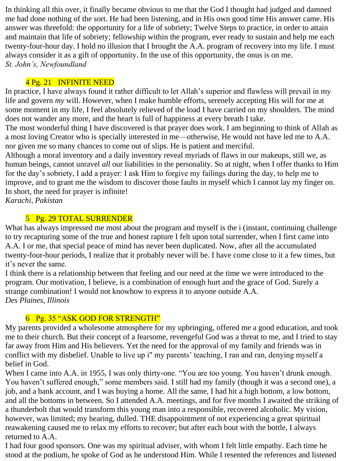In thinking all this over, it finally became obvious to me that the God I thought had judged and damned me had done nothing of the sort. He had been listening, and in His own good time His answer came. His answer was threefold: the opportunity for a life of sobriety; Twelve Steps to practice, in order to attain and maintain that life of sobriety; fellowship within the program, ever ready to sustain and help me each twenty-four-hour day. I hold no illusion that I brought the A.A. program of recovery into my life. I must always consider it as a gift of opportunity. In the use of this opportunity, the onus is on me. *St. John's, Newfoundland* 

# 4 Pg. 21 INFINITE NEED

In practice, I have always found it rather difficult to let Allah's superior and flawless will prevail in my life and govern *my* will. However, when I make humble efforts, serenely accepting His will for me at some moment in my life, I feel absolutely relieved of the load I have carried on my shoulders. The mind does not wander any more, and the heart is full of happiness at every breath I take.

The most wonderful thing I have discovered is that prayer does work. I am beginning to think of Allah as a most loving Creator who is specially interested in me—otherwise, He would not have led me to A.A. nor given me so many chances to come out of slips. He is patient and merciful.

Although a moral inventory and a daily inventory reveal myriads of flaws in our makeups, still we, as human beings, cannot unravel *all* our liabilities in the personality. So at night, when I offer thanks to Him for the day's sobriety, I add a prayer: I ask Him to forgive my failings during the day, to help me to improve, and to grant me the wisdom to discover those faults in myself which I cannot lay my finger on. In short, the need for prayer is infinite!

*Karachi, Pakistan* 

# 5 Pg. 29 TOTAL SURRENDER

What has always impressed me most about the program and myself is the i (instant, continuing challenge to try recapturing some of the true and honest rapture I felt upon total surrender, when I first came into A.A. I or me, that special peace of mind has never been duplicated. Now, after all the accumulated twenty-four-hour periods, I realize that it probably never will be. I have come close to it a few times, but it's never the same.

I think there is a relationship between that feeling and our need at the time we were introduced to the program. Our motivation, I believe, is a combination of enough hurt and the grace of God. Surely a strange combination! I would not knowhow to express it to anyone outside A.A. *Des Plaines, Illinois* 

# 6 Pg. 35 "ASK GOD FOR STRENGTH"

My parents provided a wholesome atmosphere for my upbringing, offered me a good education, and took me to their church. But their concept of a fearsome, revengeful God was a threat to me, and I tried to stay far away from Him and His believers. Yet the need for the approval of my family and friends was in conflict with my disbelief. Unable to live up i" my parents' teaching, I ran and ran, denying myself a belief in God.

When I came into A.A. in 1955, I was only thirty-one. "You are too young. You haven't drunk enough. You haven't suffered enough," some members said. I still had my family (though it was a second one), a job, and a bank account, and I was buying a home. All the same, I had hit a high bottom, a low bottom, and all the bottoms in between. So I attended A.A. meetings, and for five months I awaited the striking of a thunderbolt that would transform this young man into a responsible, recovered alcoholic. My vision, however, was limited; my hearing, dulled. THE disappointment of not experiencing a great spiritual reawakening caused me to relax my efforts to recover; but after each bout with the bottle, I always returned to A.A.

I had four good sponsors. One was my spiritual adviser, with whom I felt little empathy. Each time he stood at the podium, he spoke of God as he understood Him. While I resented the references and listened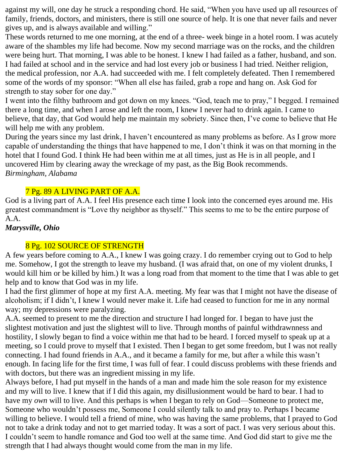against my will, one day he struck a responding chord. He said, "When you have used up all resources of family, friends, doctors, and ministers, there is still one source of help. It is one that never fails and never gives up, and is always available and willing."

These words returned to me one morning, at the end of a three- week binge in a hotel room. I was acutely aware of the shambles my life had become. Now my second marriage was on the rocks, and the children were being hurt. That morning, I was able to be honest. I knew I had failed as a father, husband, and son. I had failed at school and in the service and had lost every job or business I had tried. Neither religion, the medical profession, nor A.A. had succeeded with me. I felt completely defeated. Then I remembered some of the words of my sponsor: "When all else has failed, grab a rope and hang on. Ask God for strength to stay sober for one day."

I went into the filthy bathroom and got down on my knees. "God, teach me to pray," I begged. I remained there a long time, and when I arose and left the room, I knew I never had to drink again. I came to believe, that day, that God would help me maintain my sobriety. Since then, I've come to believe that He will help me with any problem.

During the years since my last drink, I haven't encountered as many problems as before. As I grow more capable of understanding the things that have happened to me, I don't think it was on that morning in the hotel that I found God. I think He had been within me at all times, just as He is in all people, and I uncovered Him by clearing away the wreckage of my past, as the Big Book recommends. *Birmingham, Alabama* 

# 7 Pg. 89 A LIVING PART OF A.A.

God is a living part of A.A. I feel His presence each time I look into the concerned eyes around me. His greatest commandment is "Love thy neighbor as thyself." This seems to me to be the entire purpose of A.A.

*Marysville, Ohio* 

# 8 Pg. 102 SOURCE OF STRENGTH

A few years before coming to A.A., I knew I was going crazy. I do remember crying out to God to help me. Somehow, I got the strength to leave my husband. (I was afraid that, on one of my violent drunks, I would kill him or be killed by him.) It was a long road from that moment to the time that I was able to get help and to know that God was in my life.

I had the first glimmer of hope at my first A.A. meeting. My fear was that I might not have the disease of alcoholism; if I didn't, I knew I would never make it. Life had ceased to function for me in any normal way; my depressions were paralyzing.

A.A. seemed to present to me the direction and structure I had longed for. I began to have just the slightest motivation and just the slightest will to live. Through months of painful withdrawnness and hostility, I slowly began to find a voice within me that had to be heard. I forced myself to speak up at a meeting, so I could prove to myself that I existed. Then I began to get some freedom, but I was not really connecting. I had found friends in A.A., and it became a family for me, but after a while this wasn't enough. In facing life for the first time, I was full of fear. I could discuss problems with these friends and with doctors, but there was an ingredient missing in my life.

Always before, I had put myself in the hands of a man and made him the sole reason for my existence and my will to live. I knew that if I did this again, my disillusionment would be hard to bear. I had to have my *own* will to live. And this perhaps is when I began to rely on God—Someone to protect me, Someone who wouldn't possess me, Someone I could silently talk to and pray to. Perhaps I became willing to believe. I would tell a friend of mine, who was having the same problems, that I prayed to God not to take a drink today and not to get married today. It was a sort of pact. I was very serious about this. I couldn't seem to handle romance and God too well at the same time. And God did start to give me the strength that I had always thought would come from the man in my life.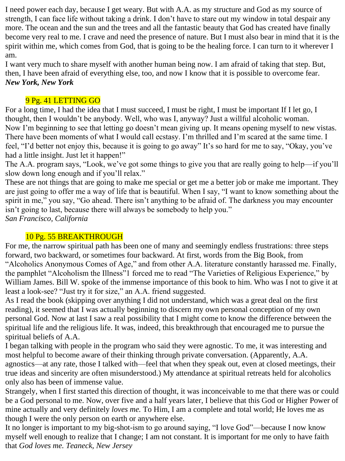I need power each day, because I get weary. But with A.A. as my structure and God as my source of strength, I can face life without taking a drink. I don't have to stare out my window in total despair any more. The ocean and the sun and the trees and all the fantastic beauty that God has created have finally become very real to me. I crave and need the presence of nature. But I must also bear in mind that it is the spirit within me, which comes from God, that is going to be the healing force. I can turn to it wherever I am.

I want very much to share myself with another human being now. I am afraid of taking that step. But, then, I have been afraid of everything else, too, and now I know that it is possible to overcome fear. *New York, New York* 

# 9 Pg. 41 LETTING GO

For a long time, I had the idea that I must succeed, I must be right, I must be important If I let go, I thought, then I wouldn't be anybody. Well, who was I, anyway? Just a willful alcoholic woman. Now I'm beginning to see that letting go doesn't mean giving up. It means opening myself to new vistas. There have been moments of what I would call ecstasy. I'm thrilled and I'm scared at the same time. I feel, "I'd better not enjoy this, because it is going to go away" It's so hard for me to say, "Okay, you've had a little insight. Just let it happen!"

The A.A. program says, "Look, we've got some things to give you that are really going to help—if you'll slow down long enough and if you'll relax."

These are not things that are going to make me special or get me a better job or make me important. They are just going to offer me a way of life that is beautiful. When I say, "I want to know something about the spirit in me," you say, "Go ahead. There isn't anything to be afraid of. The darkness you may encounter isn't going to last, because there will always be somebody to help you."

*San Francisco, California* 

# 10 Pg. 55 BREAKTHROUGH

For me, the narrow spiritual path has been one of many and seemingly endless frustrations: three steps forward, two backward, or sometimes four backward. At first, words from the Big Book, from "Alcoholics Anonymous Comes of Age," and from other A.A. literature constantly harassed me. Finally, the pamphlet "Alcoholism the Illness"1 forced me to read "The Varieties of Religious Experience," by William James. Bill W. spoke of the immense importance of this book to him. Who was I not to give it at least a look-see? "Just try it for size," an A.A. friend suggested.

As I read the book (skipping over anything I did not understand, which was a great deal on the first reading), it seemed that I was actually beginning to discern my own personal conception of my own personal God. Now at last I saw a real possibility that I might come to know the difference between the spiritual life and the religious life. It was, indeed, this breakthrough that encouraged me to pursue the spiritual beliefs of A.A.

I began talking with people in the program who said they were agnostic. To me, it was interesting and most helpful to become aware of their thinking through private conversation. (Apparently, A.A. agnostics—at any rate, those I talked with—feel that when they speak out, even at closed meetings, their true ideas and sincerity are often misunderstood.) My attendance at spiritual retreats held for alcoholics only also has been of immense value.

Strangely, when I first started this direction of thought, it was inconceivable to me that there was or could be a God personal to me. Now, over five and a half years later, I believe that this God or Higher Power of mine actually and very definitely *loves me.* To Him, I am a complete and total world; He loves me as though I were the only person on earth or anywhere else.

It no longer is important to my big-shot-ism to go around saying, "I love God"—because I now know myself well enough to realize that I change; I am not constant. It is important for me only to have faith that *God loves me. Teaneck, New Jersey*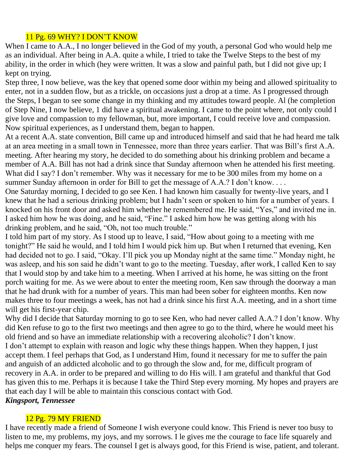#### 11 Pg. 69 WHY? I DON'T KNOW

When I came to A.A., I no longer believed in the God of my youth, a personal God who would help me as an individual. After being in A.A. quite a while, I tried to take the Twelve Steps to the best of my ability, in the order in which (hey were written. It was a slow and painful path, but I did not give up; I kept on trying.

Step three, I now believe, was the key that opened some door within my being and allowed spirituality to enter, not in a sudden flow, but as a trickle, on occasions just a drop at a time. As I progressed through the Steps, I began to see some change in my thinking and my attitudes toward people. Al (he completion of Step Nine, I now believe, 1 did have a spiritual awakening. I came to the point where, not only could I give love and compassion to my fellowman, but, more important, I could receive love and compassion. Now spiritual experiences, as I understand them, began to happen.

At a recent A.A. state convention, Bill came up and introduced himself and said that he had heard me talk at an area meeting in a small town in Tennessee, more than three years earlier. That was Bill's first A.A. meeting. After hearing my story, he decided to do something about his drinking problem and became a member of A.A. Bill has not had a drink since that Sunday afternoon when he attended his first meeting. What did I say? I don't remember. Why was it necessary for me to be 300 miles from my home on a summer Sunday afternoon in order for Bill to get the message of A.A.? I don't know....

One Saturday morning, I decided to go see Ken. I had known him casually for twenty-live years, and I knew that he had a serious drinking problem; but I hadn't seen or spoken to him for a number of years. I knocked on his front door and asked him whether he remembered me. He said, "Yes," and invited me in. I asked him how he was doing, and he said, "Fine." I asked him how he was getting along with his drinking problem, and he said, "Oh, not too much trouble."

I told him part of my story. As I stood up to leave, I said, "How about going to a meeting with me tonight?" He said he would, and I told him I would pick him up. But when I returned that evening, Ken had decided not to go. I said, "Okay. I'll pick you up Monday night at the same time." Monday night, he was asleep, and his son said he didn't want to go to the meeting. Tuesday, after work, I called Ken to say that I would stop by and take him to a meeting. When I arrived at his home, he was sitting on the front porch waiting for me. As we were about to enter the meeting room, Ken saw through the doorway a man that he had drunk with for a number of years. This man had been sober for eighteen months. Ken now makes three to four meetings a week, has not had a drink since his first A.A. meeting, and in a short time will get his first-year chip.

Why did I decide that Saturday morning to go to see Ken, who had never called A.A.? I don't know. Why did Ken refuse to go to the first two meetings and then agree to go to the third, where he would meet his old friend and so have an immediate relationship with a recovering alcoholic? I don't know. I don't attempt to explain with reason and logic why these things happen. When they happen, I just accept them. I feel perhaps that God, as I understand Him, found it necessary for me to suffer the pain and anguish of an addicted alcoholic and to go through the slow and, for me, difficult program of recovery in A.A. in order to be prepared and willing to do His will. I am grateful and thankful that God has given this to me. Perhaps it is because I take the Third Step every morning. My hopes and prayers are that each day I will be able to maintain this conscious contact with God.

#### *Kingsport, Tennessee*

#### 12 Pg. 79 MY FRIEND

I have recently made a friend of Someone I wish everyone could know. This Friend is never too busy to listen to me, my problems, my joys, and my sorrows. I le gives me the courage to face life squarely and helps me conquer my fears. The counsel I get is always good, for this Friend is wise, patient, and tolerant.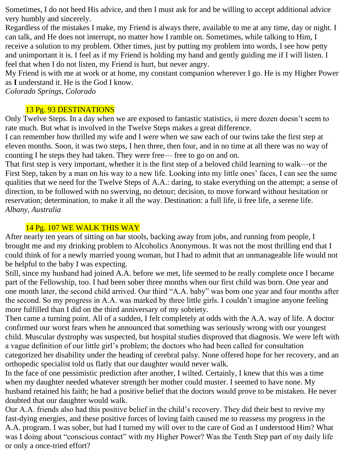Sometimes, I do not heed His advice, and then I must ask for and be willing to accept additional advice very humbly and sincerely.

Regardless of the mistakes I make, my Friend is always there, available to me at any time, day or night. I can talk, and He does not interrupt, no matter how I ramble on. Sometimes, while talking to Him, I receive a solution to my problem. Other times, just by putting my problem into words, I see how petty and unimportant it is. I feel as if my Friend is holding my hand and gently guiding me if I will listen. I feel that when I do not listen, my Friend is hurt, but never angry.

My Friend is with me at work or at home, my constant companion wherever I go. He is my Higher Power as **I** understand it. He is the God I know.

*Colorado Springs, Colorado* 

#### 13 Pg. 93 DESTINATIONS

Only Twelve Steps. In a day when we are exposed to fantastic statistics, ii mere dozen doesn't seem to rate much. But what is involved in the Twelve Steps makes a great difference.

I can remember how thrilled my wife and I were when we saw each of our twins take the first step at eleven months. Soon, it was two steps, I hen three, then four, and in no time at all there was no way of counting I he steps they had taken. They were free— free to go on and on.

That first step is very important, whether it is the first step of a beloved child learning to walk—or the First Step, taken by a man on his way to a new life. Looking into my little ones' faces, I can see the same qualities that we need for the Twelve Steps of A.A.: daring, to stake everything on the attempt; a sense of direction, to be followed with no swerving, no detour; decision, to move forward without hesitation or reservation; determination, to make it all the way. Destination: a full life, ii free life, a serene life. *Albany, Australia* 

# 14 Pg. 107 WE WALK THIS WAY

After nearly ten years of sitting on bar stools, backing away from jobs, and running from people, I brought me and my drinking problem to Alcoholics Anonymous. It was not the most thrilling end that I could think of for a newly married young woman, but I had to admit that an unmanageable life would not be helpful to the baby I was expecting.

Still, since my husband had joined A.A. before we met, life seemed to be really complete once I became part of the Fellowship, too. I had been sober three months when our first child was born. One year and one month later, the second child arrived. Our third "A.A. baby" was born one year and four months after the second. So my progress in A.A. was marked by three little girls. I couldn't imagine anyone feeling more fulfilled than I did on the third anniversary of my sobriety.

Then came a turning point. All of a sudden, I felt completely at odds with the A.A. way of life. A doctor confirmed our worst fears when he announced that something was seriously wrong with our youngest child. Muscular dystrophy was suspected, but hospital studies disproved that diagnosis. We were left with a vague definition of our little girl's problem; the doctors who had been called for consultation categorized her disability under the heading of cerebral palsy. None offered hope for her recovery, and an orthopedic specialist told us flatly that our daughter would never walk.

In the face of one pessimistic prediction after another, I wilted. Certainly, I knew that this was a time when my daughter needed whatever strength her mother could muster. I seemed to have none. My husband retained his faith; he had a positive belief that the doctors would prove to be mistaken. He never doubted that our daughter would walk.

Our A.A. friends also had this positive belief in the child's recovery. They did their best to revive my fast-dying energies, and these positive forces of loving faith caused me to reassess my progress in the A.A. program. I was sober, but had I turned my will over to the care of God as I understood Him? What was I doing about "conscious contact" with my Higher Power? Was the Tenth Step part of my daily life or only a once-tried effort?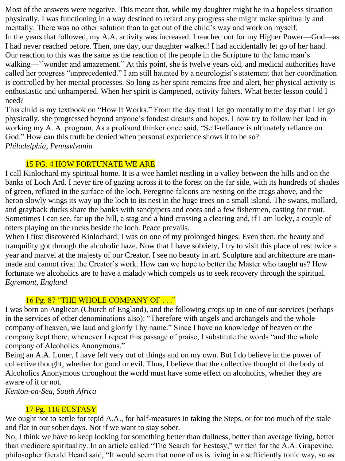Most of the answers were negative. This meant that, while my daughter might be in a hopeless situation physically, I was functioning in a way destined to retard any progress she might make spiritually and mentally. There was no other solution than to get out of the child's way and work on myself. In the years that followed, my A.A. activity was increased. I reached out for my Higher Power—God—as I had never reached before. Then, one day, our daughter walked! I had accidentally let go of her hand. Our reaction to this was the same as the reaction of the people in the Scripture to the lame man's walking—''wonder and amazement." At this point, she is twelve years old, and medical authorities have called her progress "unprecedented." I am still haunted by a neurologist's statement that her coordination is controlled by her mental processes. So long as her spirit remains free and alert, her physical activity is enthusiastic and unhampered. When her spirit is dampened, activity falters. What better lesson could I need?

This child is my textbook on "How It Works." From the day that I let go mentally to the day that I let go physically, she progressed beyond anyone's fondest dreams and hopes. I now try to follow her lead in working my A. A. program. As a profound thinker once said, "Self-reliance is ultimately reliance on God." How can this truth be denied when personal experience shows it to be so? *Philadelphia, Pennsylvania* 

# 15 PG. 4 HOW FORTUNATE WE ARE

I call Kinlochard my spiritual home. It is a wee hamlet nestling in a valley between the hills and on the banks of Loch Ard. I never tire of gazing across it to the forest on the far side, with its hundreds of shades of green, reflated in the surface of the loch. Peregrine falcons are nesting on the crags above, and the heron slowly wings its way up the loch to its nest in the huge trees on a small island. The swans, mallard, and grayback ducks share the banks with sandpipers and coots and a few fishermen, casting for trout. Sometimes I can see, far up the hill, a stag and a hind crossing a clearing and, if I am lucky, a couple of otters playing on the rocks beside the loch. Peace prevails.

When I first discovered Kinlochard, I was on one of my prolonged binges. Even then, the beauty and tranquility got through the alcoholic haze. Now that I have sobriety, I try to visit this place of rest twice a year and marvel at the majesty of our Creator. I see no beauty in art. Sculpture and architecture are manmade and cannot rival the Creator's work. How can we hope to better the Master who taught us? How fortunate we alcoholics are to have a malady which compels us to seek recovery through the spiritual. *Egremont, England* 

# 16 Pg. 87 "THE WHOLE COMPANY OF . . ."

I was born an Anglican (Church of England), and the following crops up in one of our services (perhaps in the services of other denominations also): "Therefore with angels and archangels and the whole company of heaven, we laud and glorify Thy name." Since I have no knowledge of heaven or the company kept there, whenever I repeat this passage of praise, I substitute the words "and the whole company of Alcoholics Anonymous."

Being an A.A. Loner, I have felt very out of things and on my own. But I do believe in the power of collective thought, whether for good or evil. Thus, I believe that the collective thought of the body of Alcoholics Anonymous throughout the world must have some effect on alcoholics, whether they are aware of it or not.

*Kenton-on-Sea, South Africa*

# 17 Pg. 116 ECSTASY

We ought not to settle for tepid A.A., for half-measures in taking the Steps, or for too much of the stale and flat in our sober days. Not if we want to stay sober.

No, I think we have to keep looking for something better than dullness, better than average living, better than mediocre spirituality. In an article called "The Search for Ecstasy," written for the A.A. Grapevine, philosopher Gerald Heard said, "It would seem that none of us is living in a sufficiently tonic way, so as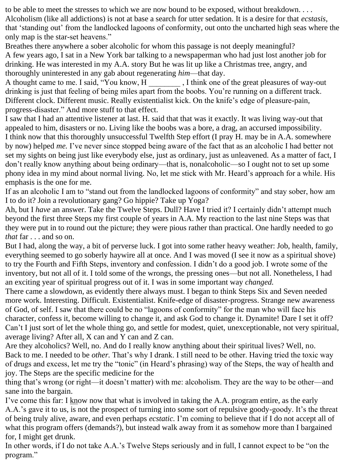to be able to meet the stresses to which we are now bound to be exposed, without breakdown. . . . Alcoholism (like all addictions) is not at base a search for utter sedation. It is a desire for that *ecstasis,* that 'standing out' from the landlocked lagoons of conformity, out onto the uncharted high seas where the only map is the star-set heavens."

Breathes there anywhere a sober alcoholic for whom this passage is not deeply meaningful? A few years ago, I sat in a New York bar talking to a newspaperman who had just lost another job for drinking. He was interested in my A.A. story But he was lit up like a Christmas tree, angry, and thoroughly uninterested in any gab about regenerating *him*—that day.

A thought came to me. I said, "You know, H \_\_\_\_\_\_\_\_, I think one of the great pleasures of way-out drinking is just that feeling of being miles apart from the boobs. You're running on a different track. Different clock. Different music. Really existentialist kick. On the knife's edge of pleasure-pain, progress-disaster." And more stuff to that effect.

I saw that I had an attentive listener at last. H. said that that was it exactly. It was living way-out that appealed to him, disasters or no. Living like the boobs was a bore, a drag, an accursed impossibility. I think now that this thoroughly unsuccessful Twelfth Step effort (I pray H. may be in A.A. somewhere by now) helped *me.* I've never since stopped being aware of the fact that as an alcoholic I had better not set my sights on being just like everybody else, just as ordinary, just as unleavened. As a matter of fact, I don't really know anything about being ordinary—that is, nonalcoholic—so I ought not to set up some phony idea in my mind about normal living. No, let me stick with Mr. Heard's approach for a while. His emphasis is the one for me.

If as an alcoholic I am to "stand out from the landlocked lagoons of conformity" and stay sober, how am I to do it? Join a revolutionary gang? Go hippie? Take up Yoga?

Ah, but I *have* an answer. Take the Twelve Steps. Dull? Have I tried it? I certainly didn't attempt much beyond the first three Steps my first couple of years in A.A. My reaction to the last nine Steps was that they were put in to round out the picture; they were pious rather than practical. One hardly needed to go *that* far . . . and so on.

But I had, along the way, a bit of perverse luck. I got into some rather heavy weather: Job, health, family, everything seemed to go soberly haywire all at once. And I was moved (I see it now as a spiritual shove) to try the Fourth and Fifth Steps, inventory and confession. I didn't do a good job. I wrote some of the inventory, but not all of it. I told some of the wrongs, the pressing ones—but not all. Nonetheless, I had an exciting year of spiritual progress out of it. I was in some important way *changed.* 

There came a slowdown, as evidently there always must. I began to think Steps Six and Seven needed more work. Interesting. Difficult. Existentialist. Knife-edge of disaster-progress. Strange new awareness of God, of self. I saw that there could be no "lagoons of conformity" for the man who will face his character, confess it, become willing to change it, and ask God to change it. Dynamite! Dare I set it off? Can't I just sort of let the whole thing go, and settle for modest, quiet, unexceptionable, not very spiritual, average living? After all, X can and Y can and Z can.

Are they alcoholics? Well, no. And do I really know anything about their spiritual lives? Well, no. Back to me. I needed to be *other.* That's why I drank. I still need to be other. Having tried the toxic way of drugs and excess, let me try the "tonic" (in Heard's phrasing) way of the Steps, the way of health and joy. The Steps are the specific medicine for the

thing that's wrong (or right—it doesn't matter) with me: alcoholism. They are the way to be other—and sane into the bargain.

I've come this far: I know now that what is involved in taking the A.A. program entire, as the early A.A.'s gave it to us, is not the prospect of turning into some sort of repulsive goody-goody. It's the threat of being truly alive, aware, and even perhaps *ecstatic.* I'm coming to believe that if I do not accept all of what this program offers (demands?), but instead walk away from it as somehow more than I bargained for, I might get drunk.

In other words, if I do not take A.A.'s Twelve Steps seriously and in full, I cannot expect to be "on the program."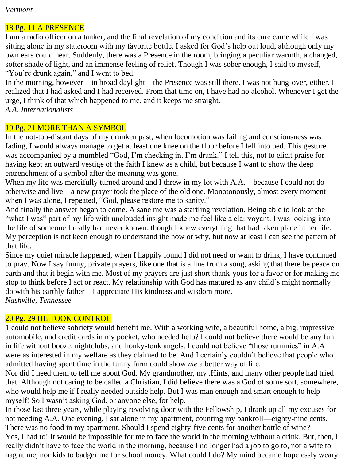# 18 Pg. 11 A PRESENCE

I am a radio officer on a tanker, and the final revelation of my condition and its cure came while I was sitting alone in my stateroom with my favorite bottle. I asked for God's help out loud, although only my own ears could hear. Suddenly, there was a Presence in the room, bringing a peculiar warmth, a changed, softer shade of light, and an immense feeling of relief. Though I was sober enough, I said to myself, "You're drunk again," and I went to bed.

In the morning, however—in broad daylight—the Presence was still there. I was not hung-over, either. I realized that I had asked and I had received. From that time on, I have had no alcohol. Whenever I get the urge, I think of that which happened to me, and it keeps me straight.

*A.A. Internationalists* 

#### 19 Pg. 21 MORE THAN A SYMBOL

In the not-too-distant days of my drunken past, when locomotion was failing and consciousness was fading, I would always manage to get at least one knee on the floor before I fell into bed. This gesture was accompanied by a mumbled "God, I'm checking in. I'm drunk." I tell this, not to elicit praise for having kept an outward vestige of the faith I knew as a child, but because I want to show the deep entrenchment of a symbol after the meaning was gone.

When my life was mercifully turned around and I threw in my lot with A.A.—because I could not do otherwise and live—a new prayer took the place of the old one. Monotonously, almost every moment when I was alone, I repeated, "God, please restore me to sanity."

And finally the answer began to come. A sane me was a startling revelation. Being able to look at the "what I was" part of my life with unclouded insight made me feel like a clairvoyant. I was looking into the life of someone I really had never known, though I knew everything that had taken place in her life. My perception is not keen enough to understand the how or why, but now at least I can see the pattern of that life.

Since my quiet miracle happened, when I happily found I did not need or want to drink, I have continued to pray. Now I say funny, private prayers, like one that is a line from a song, asking that there be peace on earth and that it begin with me. Most of my prayers are just short thank-yous for a favor or for making me stop to think before I act or react. My relationship with God has matured as any child's might normally do with his earthly father—I appreciate His kindness and wisdom more. *Nashville, Tennessee* 

#### 20 Pg. 29 HE TOOK CONTROL

1 could not believe sobriety would benefit me. With a working wife, a beautiful home, a big, impressive automobile, and credit cards in my pocket, who needed help? I could not believe there would be any fun in life without booze, nightclubs, and honky-tonk angels. I could not believe "those rummies" in A.A. were as interested in my welfare as they claimed to be. And I certainly couldn't believe that people who admitted having spent time in the funny farm could show *me* a better way of life.

Nor did I need them to tell me about God. My grandmother, my .Hints, and many other people had tried that. Although not caring to be called a Christian, I did believe there was a God of some sort, somewhere, who would help me if I really needed outside help. But I was man enough and smart enough to help myself! So I wasn't asking God, or anyone else, for help.

In those last three years, while playing revolving door with the Fellowship, I drank up all my excuses for not needing A.A. One evening, I sat alone in my apartment, counting my bankroll—eighty-nine cents. There was no food in my apartment. Should I spend eighty-five cents for another bottle of wine? Yes, I had to! It would be impossible for me to face the world in the morning without a drink. But, then, I really didn't have to face the world in the morning, because I no longer had a job to go to, nor a wife to nag at me, nor kids to badger me for school money. What could I do? My mind became hopelessly weary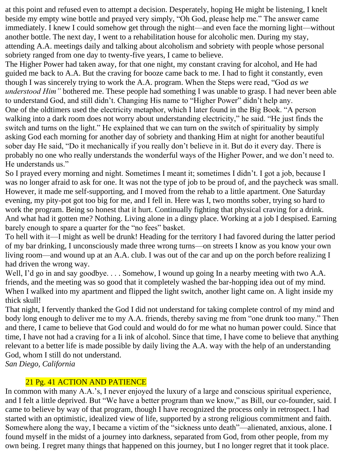at this point and refused even to attempt a decision. Desperately, hoping He might be listening, I knelt beside my empty wine bottle and prayed very simply, "Oh God, please help me." The answer came immediately. I knew I could somehow get through the night—and even face the morning light—without another bottle. The next day, I went to a rehabilitation house for alcoholic men. During my stay, attending A.A. meetings daily and talking about alcoholism and sobriety with people whose personal sobriety ranged from one day to twenty-five years, I came to believe.

The Higher Power had taken away, for that one night, my constant craving for alcohol, and He had guided me back to A.A. But the craving for booze came back to me. I had to fight it constantly, even though I was sincerely trying to work the A.A. program. When the Steps were read, "God *as we understood Him"* bothered me. These people had something I was unable to grasp. I had never been able to understand God, and still didn't. Changing His name to "Higher Power" didn't help any. One of the oldtimers used the electricity metaphor, which I later found in the Big Book. "A person walking into a dark room does not worry about understanding electricity," he said. "He just finds the switch and turns on the light." He explained that we can turn on the switch of spirituality by simply asking God each morning for another day of sobriety and thanking Him at night for another beautiful sober day He said, "Do it mechanically if you really don't believe in it. But do it every day. There is probably no one who really understands the wonderful ways of the Higher Power, and we don't need to. He understands us."

So I prayed every morning and night. Sometimes I meant it; sometimes I didn't. I got a job, because I was no longer afraid to ask for one. It was not the type of job to be proud of, and the paycheck was small. However, it made me self-supporting, and I moved from the rehab to a little apartment. One Saturday evening, my pity-pot got too big for me, and I fell in. Here was I, two months sober, trying so hard to work the program. Being so honest that it hurt. Continually fighting that physical craving for a drink. And what had it gotten me? Nothing. Living alone in a dingy place. Working at a job I despised. Earning barely enough to spare a quarter for the "no fees" basket.

To hell with it—I might as well be drunk! Heading for the territory I had favored during the latter period of my bar drinking, I unconsciously made three wrong turns—on streets I know as you know your own living room—and wound up at an A.A. club. I was out of the car and up on the porch before realizing I had driven the wrong way.

Well, I'd go in and say goodbye. . . . Somehow, I wound up going In a nearby meeting with two A.A. friends, and the meeting was so good that it completely washed the bar-hopping idea out of my mind. When I walked into my apartment and flipped the light switch, another light came on. A light inside my thick skull!

That night, I fervently thanked the God I did not understand for taking complete control of my mind and body long enough to deliver me to my A.A. friends, thereby saving me from "one drunk too many." Then and there, I came to believe that God could and would do for me what no human power could. Since that time, I have not had a craving for a Ii ink of alcohol. Since that time, I have come to believe that anything relevant to a better life is made possible by daily living the A.A. way with the help of an understanding God, whom I still do not understand.

*San Diego, California* 

# 21 Pg. 41 ACTION AND PATIENCE

In common with many A.A.'s, I never enjoyed the luxury of a large and conscious spiritual experience, and I felt a little deprived. But "We have a better program than we know," as Bill, our co-founder, said. I came to believe by way of that program, though I have recognized the process only in retrospect. I had started with an optimistic, idealized view of life, supported by a strong religious commitment and faith. Somewhere along the way, I became a victim of the "sickness unto death"—alienated, anxious, alone. I found myself in the midst of a journey into darkness, separated from God, from other people, from my own being. I regret many things that happened on this journey, but I no longer regret that it took place.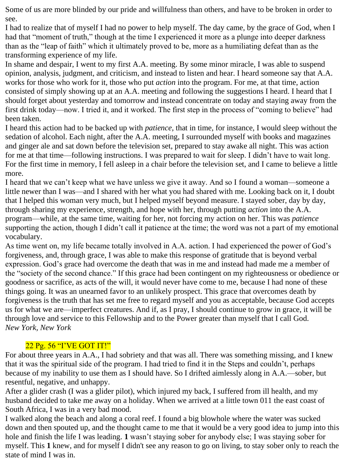Some of us are more blinded by our pride and willfulness than others, and have to be broken in order to see.

I had to realize that of myself I had no power to help myself. The day came, by the grace of God, when I had that "moment of truth," though at the time I experienced it more as a plunge into deeper darkness than as the "leap of faith" which it ultimately proved to be, more as a humiliating defeat than as the transforming experience of my life.

In shame and despair, I went to my first A.A. meeting. By some minor miracle, I was able to suspend opinion, analysis, judgment, and criticism, and instead to listen and hear. I heard someone say that A.A. works for those who work for it, those who put *action* into the program. For me, at that time, action consisted of simply showing up at an A.A. meeting and following the suggestions I heard. I heard that I should forget about yesterday and tomorrow and instead concentrate on today and staying away from the first drink today—now. I tried it, and it worked. The first step in the process of "coming to believe" had been taken.

I heard this action had to be backed up with *patience,* that in time, for instance, I would sleep without the sedation of alcohol. Each night, after the A.A. meeting, I surrounded myself with books and magazines and ginger ale and sat down before the television set, prepared to stay awake all night. This was action for me at that time—following instructions. I was prepared to wait for sleep. I didn't have to wait long. For the first time in memory, I fell asleep in a chair before the television set, and I came to believe a little more.

I heard that we can't keep what we have unless we give it away. And so I found a woman—someone a little newer than I was—and I shared with her what you had shared with me. Looking back on it, I doubt that I helped this woman very much, but I helped myself beyond measure. I stayed sober, day by day, through sharing my experience, strength, and hope with her, through putting *action* into the A.A. program—while, at the same time, waiting for her, not forcing my action on her. This was *patience*  supporting the action, though I didn't call it patience at the time; the word was not a part of my emotional vocabulary.

As time went on, my life became totally involved in A.A. action. I had experienced the power of God's forgiveness, and, through grace, I was able to make this response of gratitude that is beyond verbal expression. God's grace had overcome the death that was in me and instead had made me a member of the "society of the second chance." If this grace had been contingent on my righteousness or obedience or goodness or sacrifice, as acts of the will, it would never have come to me, because I had none of these things going. It was an unearned favor to an unlikely prospect. This grace that overcomes death by forgiveness is the truth that has set me free to regard myself and you as acceptable, because God accepts us for what we are—imperfect creatures. And if, as I pray, I should continue to grow in grace, it will be through love and service to this Fellowship and to the Power greater than myself that I call God. *New York, New York* 

#### 22 Pg. 56 "I'VE GOT IT!"

For about three years in A.A., I had sobriety and that was all. There was something missing, and I knew that it was the spiritual side of the program. I had tried to find it in the Steps and couldn't, perhaps because of my inability to use them as I should have. So I drifted aimlessly along in A.A.—sober, but resentful, negative, and unhappy.

After a glider crash (I was a glider pilot), which injured my back, I suffered from ill health, and my husband decided to take me away on a holiday. When we arrived at a little town 011 the east coast of South Africa, I was in a very bad mood.

I walked along the beach and along a coral reef. I found a big blowhole where the water was sucked down and then spouted up, and the thought came to me that it would be a very good idea to jump into this hole and finish the life I was leading. **1** wasn't staying sober for anybody else; I was staying sober for myself. This **1** knew, and for myself I didn't see any reason to go on living, to stay sober only to reach the state of mind I was in.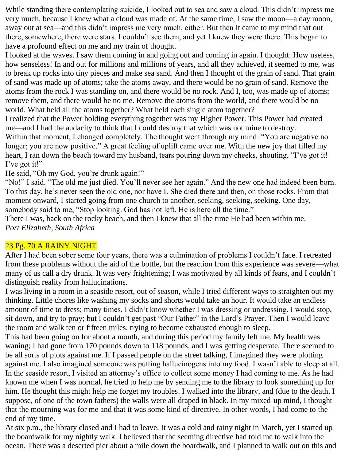While standing there contemplating suicide, I looked out to sea and saw a cloud. This didn't impress me very much, because I knew what a cloud was made of. At the same time, I saw the moon—a day moon, away out at sea—and this didn't impress me very much, either. But then it came to my mind that out there, somewhere, there were stars. I couldn't see them, and yet I knew they were there. This began to have a profound effect on me and my train of thought.

I looked at the waves. I saw them coming in and going out and coming in again. I thought: How useless, how senseless! In and out for millions and millions of years, and all they achieved, it seemed to me, was to break up rocks into tiny pieces and make sea sand. And then I thought of the grain of sand. That grain of sand was made up of atoms; take the atoms away, and there would be no grain of sand. Remove the atoms from the rock I was standing on, and there would be no rock. And I, too, was made up of atoms; remove them, and there would be no me. Remove the atoms from the world, and there would be no world. What held all the atoms together? What held each single atom together?

I realized that the Power holding everything together was my Higher Power. This Power had created me—and I had the audacity to think that I could destroy that which was not mine to destroy.

Within that moment, I changed completely. The thought went through my mind: "You are negative no longer; you are now positive." A great feeling of uplift came over me. With the new joy that filled my heart, I ran down the beach toward my husband, tears pouring down my cheeks, shouting, "I've got it! I've got it!"

He said, "Oh my God, you're drunk again!"

"No!" I said. "The old me just died. You'll never see her again." And the new one had indeed been born. To this day, he's never seen the old one, nor have I. She died there and then, on those rocks. From that moment onward, I started going from one church to another, seeking, seeking, seeking. One day, somebody said to me, "Stop looking. God has not left. He is here all the time."

There I was, back on the rocky beach, and then I knew that all the time He had been within me. *Port Elizabeth, South Africa* 

# 23 Pg. 70 A RAINY NIGHT

After I had been sober some four years, there was a culmination of problems I couldn't face. I retreated from these problems without the aid of the bottle, but the reaction from this experience was severe—what many of us call a dry drunk. It was very frightening; I was motivated by all kinds of fears, and I couldn't distinguish reality from hallucinations.

I was living in a room in a seaside resort, out of season, while I tried different ways to straighten out my thinking. Little chores like washing my socks and shorts would take an hour. It would take an endless amount of time to dress; many times, I didn't know whether I was dressing or undressing. I would stop, sit down, and try to pray; but I couldn't get past "Our Father" in the Lord's Prayer. Then I would leave the room and walk ten or fifteen miles, trying to become exhausted enough to sleep.

This had been going on for about a month, and during this period my family left me. My health was waning; I had gone from 170 pounds down to 118 pounds, and I was getting desperate. There seemed to be all sorts of plots against me. If I passed people on the street talking, I imagined they were plotting against me. I also imagined someone was putting hallucinogens into my food. I wasn't able to sleep at all. In the seaside resort, I visited an attorney's office to collect some money I had coming to me. As he had known me when I was normal, he tried to help me by sending me to the library to look something up for him. He thought this might help me forget my troubles. I walked into the library, and (due to the death, I suppose, of one of the town fathers) the walls were all draped in black. In my mixed-up mind, I thought that the mourning was for me and that it was some kind of directive. In other words, I had come to the end of my time.

At six p.m., the library closed and I had to leave. It was a cold and rainy night in March, yet I started up the boardwalk for my nightly walk. I believed that the seeming directive had told me to walk into the ocean. There was a deserted pier about a mile down the boardwalk, and I planned to walk out on this and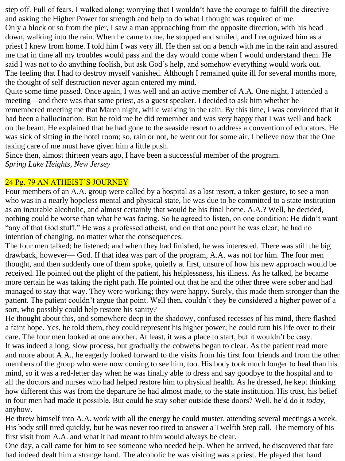step off. Full of fears, I walked along; worrying that I wouldn't have the courage to fulfill the directive and asking the Higher Power for strength and help to do what I thought was required of me. Only a block or so from the pier, I saw a man approaching from the opposite direction, with his head down, walking into the rain. When he came to me, he stopped and smiled, and I recognized him as a priest I knew from home. I told him I was very ill. He then sat on a bench with me in the rain and assured me that in time all my troubles would pass and the day would come when I would understand them. He said I was not to do anything foolish, but ask God's help, and somehow everything would work out. The feeling that I had to destroy myself vanished. Although I remained quite ill for several months more, the thought of self-destruction never again entered my mind.

Quite some time passed. Once again, I was well and an active member of A.A. One night, I attended a meeting—and there was that same priest, as a guest speaker. I decided to ask him whether he remembered meeting me that March night, while walking in the rain. By this time, I was convinced that it had been a hallucination. But he told me he did remember and was very happy that I was well and back on the beam. He explained that he had gone to the seaside resort to address a convention of educators. He was sick of sitting in the hotel room; so, rain or not, he went out for some air. I believe now that the One taking care of me must have given him a little push.

Since then, almost thirteen years ago, I have been a successful member of the program. *Spring Lake Heights, New Jersey*

# 24 Pg. 79 AN ATHEIST'S JOURNEY

Four members of an A.A. group were called by a hospital as a last resort, a token gesture, to see a man who was in a nearly hopeless mental and physical state, lie was due to be committed to a state institution as an incurable alcoholic, and almost certainly that would be his final home. A.A.? Well, he decided, nothing could be worse than what he was facing. So he agreed to listen, on one condition: He didn't want "any of that God stuff." He was a professed atheist, and on that one point he was clear; he had no intention of changing, no matter what the consequences.

The four men talked; he listened; and when they had finished, he was interested. There was still the big drawback, however— God. If that idea was part of the program, A.A. was not for him. The four men thought, and then suddenly one of them spoke, quietly at first, unsure of how his new approach would be received. He pointed out the plight of the patient, his helplessness, his illness. As he talked, he became more certain he was taking the right path. He pointed out that he and the other three were sober and had managed to stay that way. They were working; they were happy. Surely, this made them stronger than the patient. The patient couldn't argue that point. Well then, couldn't they be considered a higher power of a sort, who possibly could help restore his sanity?

He thought about this, and somewhere deep in the shadowy, confused recesses of his mind, there flashed a faint hope. Yes, he told them, they could represent his higher power; he could turn his life over to their care. The four men looked at one another. At least, it was a place to start, but it wouldn't be easy. It was indeed a long, slow process, but gradually the cobwebs began to clear. As the patient read more and more about A.A., he eagerly looked forward to the visits from his first four friends and from the other members of the group who were now coming to see him, too. His body took much longer to heal than his mind, so it was a red-letter day when he was finally able to dress and say goodbye to the hospital and to all the doctors and nurses who had helped restore him to physical health. As he dressed, he kept thinking how different this was from the departure he had almost made, to the state institution. His trust, his belief in four men had made it possible. But could he stay sober outside these doors? Well, he'd do it *today,* anyhow.

He threw himself into A.A. work with all the energy he could muster, attending several meetings a week. His body still tired quickly, but he was never too tired to answer a Twelfth Step call. The memory of his first visit from A.A. and what it had meant to him would always be clear.

One day, a call came for him to see someone who needed help. When he arrived, he discovered that fate had indeed dealt him a strange hand. The alcoholic he was visiting was a priest. He played that hand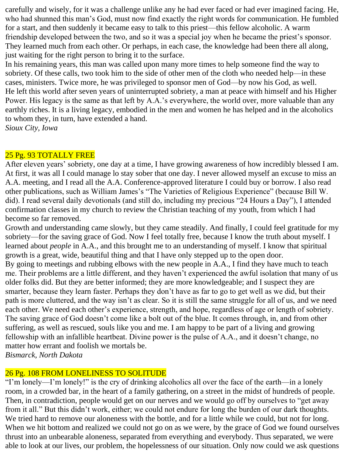carefully and wisely, for it was a challenge unlike any he had ever faced or had ever imagined facing. He, who had shunned this man's God, must now find exactly the right words for communication. He fumbled for a start, and then suddenly it became easy to talk to this priest—this fellow alcoholic. A warm friendship developed between the two, and so it was a special joy when he became the priest's sponsor. They learned much from each other. Or perhaps, in each case, the knowledge had been there all along, just waiting for the right person to bring it to the surface.

In his remaining years, this man was called upon many more times to help someone find the way to sobriety. Of these calls, two took him to the side of other men of the cloth who needed help—in these cases, ministers. Twice more, he was privileged to sponsor men of God—by now his God, as well. He left this world after seven years of uninterrupted sobriety, a man at peace with himself and his Higher Power. His legacy is the same as that left by A.A.'s everywhere, the world over, more valuable than any earthly riches. It is a living legacy, embodied in the men and women he has helped and in the alcoholics to whom they, in turn, have extended a hand. *Sioux City, Iowa* 

25 Pg. 93 TOTALLY FREE

After eleven years' sobriety, one day at a time, I have growing awareness of how incredibly blessed I am. At first, it was all I could manage lo stay sober that one day. I never allowed myself an excuse to miss an A.A. meeting, and I read all the A.A. Conference-approved literature I could buy or borrow. I also read other publications, such as William James's "The Varieties of Religious Experience" (because Bill W. did). I read several daily devotionals (and still do, including my precious "24 Hours a Day"), I attended confirmation classes in my church to review the Christian teaching of my youth, from which I had become so far removed.

Growth and understanding came slowly, but they came steadily. And finally, I could feel gratitude for my sobriety—for the saving grace of God. Now I feel totally free, because I know the truth about myself. I learned about *people* in A.A., and this brought me to an understanding of myself. I know that spiritual growth is a great, wide, beautiful thing and that I have only stepped up to the open door. By going to meetings and rubbing elbows with the new people in A.A., I find they have much to teach me. Their problems are a little different, and they haven't experienced the awful isolation that many of us older folks did. But they are better informed; they are more knowledgeable; and I suspect they are smarter, because they learn faster. Perhaps they don't have as far to go to get well as we did, but their path is more cluttered, and the way isn't as clear. So it is still the same struggle for all of us, and we need each other. We need each other's experience, strength, and hope, regardless of age or length of sobriety. The saving grace of God doesn't come like a bolt out of the blue. It comes through, in, and from other suffering, as well as rescued, souls like you and me. I am happy to be part of a living and growing fellowship with an infallible heartbeat. Divine power is the pulse of A.A., and it doesn't change, no matter how errant and foolish we mortals be.

*Bismarck, North Dakota* 

# 26 Pg. 108 FROM LONELINESS TO SOLITUDE

"I'm lonely—I'm lonely!" is the cry of drinking alcoholics all over the face of the earth—in a lonely room, in a crowded bar, in the heart of a family gathering, on a street in the midst of hundreds of people. Then, in contradiction, people would get on our nerves and we would go off by ourselves to "get away from it all." But this didn't work, either; we could not endure for long the burden of our dark thoughts. We tried hard to remove our aloneness with the bottle, and for a little while we could, but not for long. When we hit bottom and realized we could not go on as we were, by the grace of God we found ourselves thrust into an unbearable aloneness, separated from everything and everybody. Thus separated, we were able to look at our lives, our problem, the hopelessness of our situation. Only now could we ask questions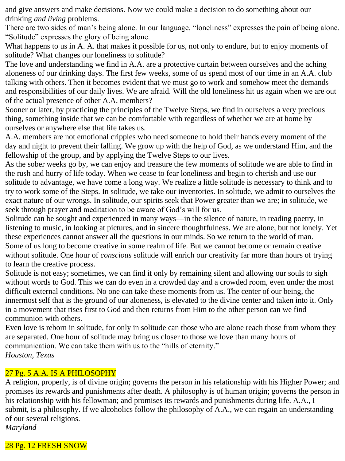and give answers and make decisions. Now we could make a decision to do something about our drinking *and living* problems.

There are two sides of man's being alone. In our language, "loneliness" expresses the pain of being alone. "Solitude" expresses the glory of being alone.

What happens to us in A. A. that makes it possible for us, not only to endure, but to enjoy moments of solitude? What changes our loneliness to solitude?

The love and understanding we find in A.A. are a protective curtain between ourselves and the aching aloneness of our drinking days. The first few weeks, some of us spend most of our time in an A.A. club talking with others. Then it becomes evident that we must go to work and somehow meet the demands and responsibilities of our daily lives. We are afraid. Will the old loneliness hit us again when we are out of the actual presence of other A.A. members?

Sooner or later, by practicing the principles of the Twelve Steps, we find in ourselves a very precious thing, something inside that we can be comfortable with regardless of whether we are at home by ourselves or anywhere else that life takes us.

A.A. members are not emotional cripples who need someone to hold their hands every moment of the day and night to prevent their falling. We grow up with the help of God, as we understand Him, and the fellowship of the group, and by applying the Twelve Steps to our lives.

As the sober weeks go by, we can enjoy and treasure the few moments of solitude we are able to find in the rush and hurry of life today. When we cease to fear loneliness and begin to cherish and use our solitude to advantage, we have come a long way. We realize a little solitude is necessary to think and to try to work some of the Steps. In solitude, we take our inventories. In solitude, we admit to ourselves the exact nature of our wrongs. In solitude, our spirits seek that Power greater than we are; in solitude, we seek through prayer and meditation to be aware of God's will for us.

Solitude can be sought and experienced in many ways—in the silence of nature, in reading poetry, in listening to music, in looking at pictures, and in sincere thoughtfulness. We are alone, but not lonely. Yet these experiences cannot answer all the questions in our minds. So we return to the world of man. Some of us long to become creative in some realm of life. But we cannot become or remain creative without solitude. One hour of *conscious* solitude will enrich our creativity far more than hours of trying to learn the creative process.

Solitude is not easy; sometimes, we can find it only by remaining silent and allowing our souls to sigh without words to God. This we can do even in a crowded day and a crowded room, even under the most difficult external conditions. No one can take these moments from us. The center of our being, the innermost self that is the ground of our aloneness, is elevated to the divine center and taken into it. Only in a movement that rises first to God and then returns from Him to the other person can we find communion with others.

Even love is reborn in solitude, for only in solitude can those who are alone reach those from whom they are separated. One hour of solitude may bring us closer to those we love than many hours of communication. We can take them with us to the "hills of eternity." *Houston, Texas* 

# 27 Pg. 5 A.A. IS A PHILOSOPHY

A religion, properly, is of divine origin; governs the person in his relationship with his Higher Power; and promises its rewards and punishments after death. A philosophy is of human origin; governs the person in his relationship with his fellowman; and promises its rewards and punishments during life. A.A., I submit, is a philosophy. If we alcoholics follow the philosophy of A.A., we can regain an understanding of our several religions. *Maryland*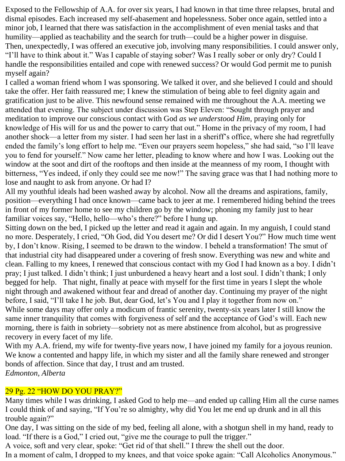Exposed to the Fellowship of A.A. for over six years, I had known in that time three relapses, brutal and dismal episodes. Each increased my self-abasement and hopelessness. Sober once again, settled into a minor job, I learned that there was satisfaction in the accomplishment of even menial tasks and that humility—applied as teachability and the search for truth—could be a higher power in disguise. Then, unexpectedly, I was offered an executive job, involving many responsibilities. I could answer only, "I'll have to think about it." Was I capable of staying sober? Was I really sober or only dry? Could I handle the responsibilities entailed and cope with renewed success? Or would God permit me to punish myself again?

I called a woman friend whom I was sponsoring. We talked it over, and she believed I could and should take the offer. Her faith reassured me; I knew the stimulation of being able to feel dignity again and gratification just to be alive. This newfound sense remained with me throughout the A.A. meeting we attended that evening. The subject under discussion was Step Eleven: "Sought through prayer and meditation to improve our conscious contact with God *as we understood Him,* praying only for knowledge of His will for us and the power to carry that out." Home in the privacy of my room, I had another shock—a letter from my sister. I had seen her last in a sheriff's office, where she had regretfully ended the family's long effort to help me. "Even our prayers seem hopeless," she had said, "so I'll leave you to fend for yourself." Now came her letter, pleading to know where and how I was. Looking out the window at the soot and dirt of the rooftops and then inside at the meanness of my room, I thought with bitterness, "Yes indeed, if only they could see me now!" The saving grace was that I had nothing more to lose and naught to ask from anyone. Or had I?

All my youthful ideals had been washed away by alcohol. Now all the dreams and aspirations, family, position—everything I had once known—came back to jeer at me. I remembered hiding behind the trees in front of my former home to see my children go by the window; phoning my family just to hear familiar voices say, "Hello, hello—who's there?" before I hung up.

Sitting down on the bed, I picked up the letter and read it again and again. In my anguish, I could stand no more. Desperately, I cried, "Oh God, did You desert me? Or did I desert You?" How much time went by, I don't know. Rising, I seemed to be drawn to the window. I beheld a transformation! The smut of that industrial city had disappeared under a covering of fresh snow. Everything was new and white and clean. Falling to my knees, I renewed that conscious contact with my God I had known as a boy. I didn't pray; I just talked. I didn't think; I just unburdened a heavy heart and a lost soul. I didn't thank; I only begged for help. That night, finally at peace with myself for the first time in years I slept the whole night through and awakened without fear and dread of another day. Continuing my prayer of the night before, I said, "I'll take I he job. But, dear God, let's You and I play it together from now on." While some days may offer only a modicum of frantic serenity, twenty-six years later I still know the same inner tranquility that comes with forgiveness of self and the acceptance of God's will. Each new morning, there is faith in sobriety—sobriety not as mere abstinence from alcohol, but as progressive recovery in every facet of my life.

With my A.A. friend, my wife for twenty-five years now, I have joined my family for a joyous reunion. We know a contented and happy life, in which my sister and all the family share renewed and stronger bonds of affection. Since that day, I trust and am trusted. *Edmonton, Alberta* 

# 29 Pg. 22 "HOW DO YOU PRAY?"

Many times while I was drinking, I asked God to help me—and ended up calling Him all the curse names I could think of and saying, "If You're so almighty, why did You let me end up drunk and in all this trouble again?"

One day, I was sitting on the side of my bed, feeling all alone, with a shotgun shell in my hand, ready to load. "If there is a God," I cried out, "give me the courage to pull the trigger."

A voice, soft and very clear, spoke: "Get rid of that shell." I threw the shell out the door.

In a moment of calm, I dropped to my knees, and that voice spoke again: "Call Alcoholics Anonymous."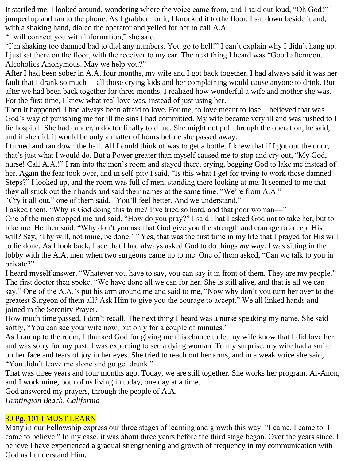It startled me. I looked around, wondering where the voice came from, and I said out loud, "Oh God!" I jumped up and ran to the phone. As I grabbed for it, I knocked it to the floor. I sat down beside it and, with a shaking hand, dialed the operator and yelled for her to call A.A.

"I will connect you with information," she said.

"I'm shaking too damned bad to dial any numbers. You go to hell!" I can't explain why I didn't hang up. I just sat there on the floor, with the receiver to my ear. The next thing I heard was "Good afternoon. Alcoholics Anonymous. May we help you?"

After I had been sober in A.A. four months, my wife and I got back together. I had always said it was her fault that I drank so much— all those crying kids and her complaining would cause anyone to drink. But after we had been back together for three months, I realized how wonderful a wife and mother she was. For the first time, I knew what real love was, instead of just using her.

Then it happened. I had always been afraid to love. For me, to love meant to lose. I believed that was God's way of punishing me for ill the sins I had committed. My wife became very ill and was rushed to I lie hospital. She had cancer, a doctor finally told me. She might not pull through the operation, he said, and if she did, it would be only a matter of hours before she passed away.

I turned and ran down the hall. All I could think of was to get a bottle. I knew that if I got out the door, that's just what I would do. But a Power greater than myself caused me to stop and cry out, "My God, nurse! Call A.A.!" I ran into the men's room and stayed there, crying, begging God to lake me instead of her. Again the fear took over, and in self-pity I said, "Is this what I get for trying to work those damned Steps?" I looked up, and the room was full of men, standing there looking at me. It seemed to me that they all stuck out their hands and said their names at the same time. "We're from A.A."

"Cry it all out," one of them said. "You'll feel better. And we understand."

I asked them, "Why is God doing this to me? I've tried so hard, and that poor woman—" One of the men stopped me and said, "How do you pray?" I said l hat I asked God not to take her, but to take me. He then said, "Why don't you ask that God give you the strength and courage to accept His will? Say, 'Thy will, not mine, be done.' " Yes, that was the first time in my life that I prayed for His will to lie done. As I look back, I see that I had always asked God to do things *my* way. I was sitting in the lobby with the A.A. men when two surgeons came up to me. One of them asked, "Can we talk to you in private?"

I heard myself answer, "Whatever you have to say, you can say it in front of them. They are my people." The first doctor then spoke. "We have done all we can for her. She is still alive, and that is all we can say." One of the A.A.'s put his arm around me and said to me, "Now why don't you turn her over to the greatest Surgeon of them all? Ask Him to give you the courage to accept." We all linked hands and joined in the Serenity Prayer.

How much time passed, I don't recall. The next thing I heard was a nurse speaking my name. She said softly, "You can see your wife now, but only for a couple of minutes."

As I ran up to the room, I thanked God for giving me this chance to let my wife know that I did love her and was sorry for my past. I was expecting to see a dying woman. To my surprise, my wife had a smile on her face and tears of joy in her eyes. She tried to reach out her arms, and in a weak voice she said, "You didn't leave me alone and go get drunk."

That was three years and four months ago. Today, we are still together. She works her program, Al-Anon, and I work mine, both of us living in today, one day at a time.

God answered my prayers, through the people of A.A.

*Huntington Beach, California* 

#### 30 Pg. 101 I MUST LEARN

Many in our Fellowship express our three stages of learning and growth this way: "I came. I came to. I came to believe." In my case, it was about three years before the third stage began. Over the years since, I believe I have experienced a gradual strengthening and growth of frequency in my communication with God as I understand Him.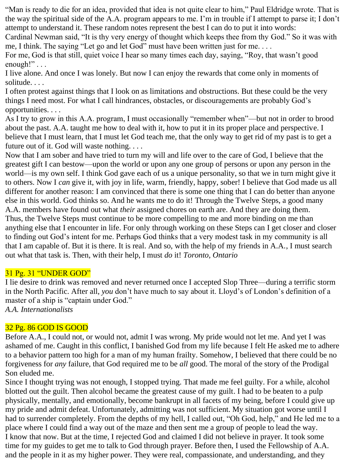"Man is ready to die for an idea, provided that idea is not quite clear to him," Paul Eldridge wrote. That is the way the spiritual side of the A.A. program appears to me. I'm in trouble if I attempt to parse it; I don't attempt to understand it. These random notes represent the best I can do to put it into words:

Cardinal Newman said, "It is thy very energy of thought which keeps thee from thy God." So it was with me, I think. The saying "Let go and let God" must have been written just for me. . . .

For me, God is that still, quiet voice I hear so many times each day, saying, "Roy, that wasn't good enough!" . . .

I live alone. And once I was lonely. But now I can enjoy the rewards that come only in moments of solitude. . . .

I often protest against things that I look on as limitations and obstructions. But these could be the very things I need most. For what I call hindrances, obstacles, or discouragements are probably God's opportunities. . . .

As I try to grow in this A.A. program, I must occasionally "remember when"—but not in order to brood about the past. A.A. taught me how to deal with it, how to put it in its proper place and perspective. I believe that I must learn, that I must let God teach me, that the only way to get rid of my past is to get a future out of it. God will waste nothing. . . .

Now that I am sober and have tried to turn my will and life over to the care of God, I believe that the greatest gift I can bestow—upon the world or upon any one group of persons or upon any person in the world—is my own self. I think God gave each of us a unique personality, so that we in turn might give it to others. Now I *can* give it, with joy in life, warm, friendly, happy, sober! I believe that God made us all different for another reason: I am convinced that there is some one thing that I can do better than anyone else in this world. God thinks so. And he wants me to do it! Through the Twelve Steps, a good many A.A. members have found out what *their* assigned chores on earth are. And they are doing them. Thus, the Twelve Steps must continue to be more compelling to me and more binding on me than anything else that I encounter in life. For only through working on these Steps can I get closer and closer to finding out God's intent for me. Perhaps God thinks that a very modest task in my community is all that I am capable of. But it is there. It is real. And so, with the help of my friends in A.A., I must search out what that task is. Then, with their help, I must *do* it! *Toronto, Ontario* 

#### 31 Pg. 31 "UNDER GOD"

I lie desire to drink was removed and never returned once I accepted Slop Three—during a terrific storm in the North Pacific. After all, *you* don't have much to say about it. Lloyd's of London's definition of a master of a ship is "captain under God."

*A.A. Internationalists* 

#### 32 Pg. 86 GOD IS GOOD

Before A.A., I could not, or would not, admit I was wrong. My pride would not let me. And yet I was ashamed of me. Caught in this conflict, I banished God from my life because I felt He asked me to adhere to a behavior pattern too high for a man of my human frailty. Somehow, I believed that there could be no forgiveness for *any* failure, that God required me to be *all* good. The moral of the story of the Prodigal Son eluded me.

Since I thought trying was not enough, I stopped trying. That made me feel guilty. For a while, alcohol blotted out the guilt. Then alcohol became the greatest cause of my guilt. I had to be beaten to a pulp physically, mentally, and emotionally, become bankrupt in all facets of my being, before I could give up my pride and admit defeat. Unfortunately, admitting was not sufficient. My situation got worse until I had to surrender completely. From the depths of my hell, I called out, "Oh God, help," and He led me to a place where I could find a way out of the maze and then sent me a group of people to lead the way. I know that now. But at the time, I rejected God and claimed I did not believe in prayer. It took some time for my guides to get me to talk to God through prayer. Before then, I used the Fellowship of A.A. and the people in it as my higher power. They were real, compassionate, and understanding, and they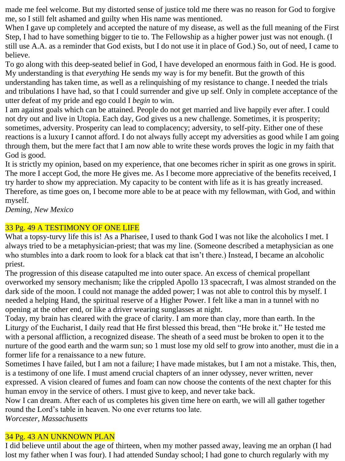made me feel welcome. But my distorted sense of justice told me there was no reason for God to forgive me, so I still felt ashamed and guilty when His name was mentioned.

When I gave up completely and accepted the nature of my disease, as well as the full meaning of the First Step, I had to have something bigger to tie to. The Fellowship as a higher power just was not enough. (I still use A.A. as a reminder that God exists, but I do not use it in place of God.) So, out of need, I came to believe.

To go along with this deep-seated belief in God, I have developed an enormous faith in God. He is good. My understanding is that *everything* He sends my way is for my benefit. But the growth of this understanding has taken time, as well as a relinquishing of my resistance to change. I needed the trials and tribulations I have had, so that I could surrender and give up self. Only in complete acceptance of the utter defeat of my pride and ego could I *begin* to win.

I am against goals which can be attained. People do not get married and live happily ever after. I could not dry out and live in Utopia. Each day, God gives us a new challenge. Sometimes, it is prosperity; sometimes, adversity. Prosperity can lead to complacency; adversity, to self-pity. Either one of these reactions is a luxury I cannot afford. I do not always fully accept my adversities as good while I am going through them, but the mere fact that I am now able to write these words proves the logic in my faith that God is good.

It is strictly my opinion, based on my experience, that one becomes richer in spirit as one grows in spirit. The more I accept God, the more He gives me. As I become more appreciative of the benefits received, I try harder to show my appreciation. My capacity to be content with life as it is has greatly increased. Therefore, as time goes on, I become more able to be at peace with my fellowman, with God, and within myself.

*Deming, New Mexico* 

#### 33 Pg. 49 A TESTIMONY OF ONE LIFE

What a topsy-turvy life this is! As a Pharisee, I used to thank God I was not like the alcoholics I met. I always tried to be a metaphysician-priest; that was my line. (Someone described a metaphysician as one who stumbles into a dark room to look for a black cat that isn't there.) Instead, I became an alcoholic priest.

The progression of this disease catapulted me into outer space. An excess of chemical propellant overworked my sensory mechanism; like the crippled Apollo 13 spacecraft, I was almost stranded on the dark side of the moon. I could not manage the added power; I was not able to control this by myself. I needed a helping Hand, the spiritual reserve of a Higher Power. I felt like a man in a tunnel with no opening at the other end, or like a driver wearing sunglasses at night.

Today, my brain has cleared with the grace of clarity. I am more than clay, more than earth. In the Liturgy of the Eucharist, I daily read that He first blessed this bread, then "He broke it." He tested me with a personal affliction, a recognized disease. The sheath of a seed must be broken to open it to the nurture of the good earth and the warm sun; so 1 must lose my old self to grow into another, must die in a former life for a renaissance to a new future.

Sometimes I have failed, but I am not a failure; I have made mistakes, but I am not a mistake. This, then, is a testimony of one life. I must amend crucial chapters of an inner odyssey, never written, never expressed. A vision cleared of fumes and foam can now choose the contents of the next chapter for this human envoy in the service of others. I must give to keep, and never take back.

Now I can dream. After each of us completes his given time here on earth, we will all gather together round the Lord's table in heaven. No one ever returns too late.

*Worcester, Massachusetts* 

#### 34 Pg. 43 AN UNKNOWN PLAN

I did believe until about the age of thirteen, when my mother passed away, leaving me an orphan (I had lost my father when I was four). I had attended Sunday school; I had gone to church regularly with my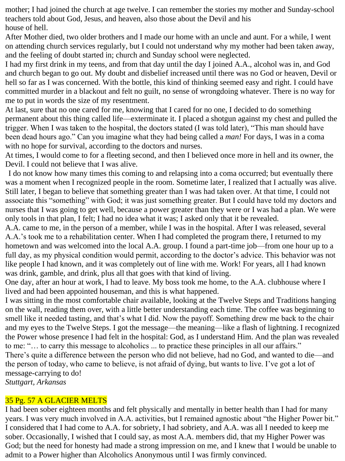mother; I had joined the church at age twelve. I can remember the stories my mother and Sunday-school teachers told about God, Jesus, and heaven, also those about the Devil and his house of hell.

After Mother died, two older brothers and I made our home with an uncle and aunt. For a while, I went on attending church services regularly, but I could not understand why my mother had been taken away, and the feeling of doubt started in; church and Sunday school were neglected.

I had my first drink in my teens, and from that day until the day I joined A.A., alcohol was in, and God and church began to go out. My doubt and disbelief increased until there was no God or heaven, Devil or hell so far as I was concerned. With the bottle, this kind of thinking seemed easy and right. I could have committed murder in a blackout and felt no guilt, no sense of wrongdoing whatever. There is no way for me to put in words the size of my resentment.

At last, sure that no one cared for me, knowing that I cared for no one, I decided to do something permanent about this thing called life—exterminate it. I placed a shotgun against my chest and pulled the trigger. When I was taken to the hospital, the doctors stated (I was told later), "This man should have been dead hours ago." Can you imagine what they had being called a *man!* For days, I was in a coma with no hope for survival, according to the doctors and nurses.

At times, I would come to for a fleeting second, and then I believed once more in hell and its owner, the Devil. I could not believe that I was alive.

I do not know how many times this coming to and relapsing into a coma occurred; but eventually there was a moment when I recognized people in the room. Sometime later, I realized that I actually was alive. Still later, I began to believe that something greater than I was had taken over. At that time, I could not associate this "something" with God; it was just something greater. But I could have told my doctors and nurses that I was going to get well, because a power greater than they were or I was had a plan. We were only tools in that plan, I felt; I had no idea what it was; I asked only that it be revealed.

A.A. came to me, in the person of a member, while I was in the hospital. After I was released, several A.A.'s took me to a rehabilitation center. When I had completed the program there, I returned to my hometown and was welcomed into the local A.A. group. I found a part-time job—from one hour up to a full day, as my physical condition would permit, according to the doctor's advice. This behavior was not like people I had known, and it was completely out of line with me. Work! For years, all I had known was drink, gamble, and drink, plus all that goes with that kind of living.

One day, after an hour at work, I had to leave. My boss took me home, to the A.A. clubhouse where I lived and had been appointed houseman, and this is what happened.

I was sitting in the most comfortable chair available, looking at the Twelve Steps and Traditions hanging on the wall, reading them over, with a little better understanding each time. The coffee was beginning to smell like it needed tasting, and that's what I did. Now the payoff. Something drew me back to the chair and my eyes to the Twelve Steps. I got the message—the meaning—like a flash of lightning. I recognized the Power whose presence I had felt in the hospital: God, as I understand Him. And the plan was revealed to me: "… to carry this message to alcoholics ... to practice these principles in all our affairs." There's quite a difference between the person who did not believe, had no God, and wanted to die—and the person of today, who came to believe, is not afraid of dying, but wants to live. I've got a lot of message-carrying to do!

*Stuttgart, Arkansas* 

# 35 Pg. 57 A GLACIER MELTS

I had been sober eighteen months and felt physically and mentally in better health than I had for many years. I was very much involved in A.A. activities, but I remained agnostic about "the Higher Power bit." I considered that I had come to A.A. for sobriety, I had sobriety, and A.A. was all I needed to keep me sober. Occasionally, I wished that I could say, as most A.A. members did, that my Higher Power was God; but the need for honesty had made a strong impression on me, and I knew that I would be unable to admit to a Power higher than Alcoholics Anonymous until I was firmly convinced.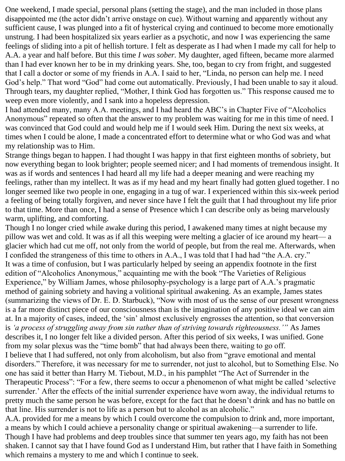One weekend, I made special, personal plans (setting the stage), and the man included in those plans disappointed me (the actor didn't arrive onstage on cue). Without warning and apparently without any sufficient cause, I was plunged into a fit of hysterical crying and continued to become more emotionally unstrung. I had been hospitalized six years earlier as a psychotic, and now I was experiencing the same feelings of sliding into a pit of hellish torture. I felt as desperate as I had when I made my call for help to A.A. a year and half before. But this time *I was sober.* My daughter, aged fifteen, became more alarmed than I had ever known her to be in my drinking years. She, too, began to cry from fright, and suggested that I call a doctor or some of my friends in A.A. I said to her, "Linda, no person can help me. I need God's help." That word "God" had come out automatically. Previously, I had been unable to say it aloud. Through tears, my daughter replied, "Mother, I think God has forgotten us." This response caused me to weep even more violently, and I sank into a hopeless depression.

I had attended many, many A.A. meetings, and I had heard the ABC's in Chapter Five of "Alcoholics Anonymous" repeated so often that the answer to my problem was waiting for me in this time of need. I was convinced that God could and would help me if I would seek Him. During the next six weeks, at times when I could be alone, I made a concentrated effort to determine what or who God was and what my relationship was to Him.

Strange things began to happen. I had thought I was happy in that first eighteen months of sobriety, but now everything began to look brighter; people seemed nicer; and I had moments of tremendous insight. It was as if words and sentences I had heard all my life had a deeper meaning and were reaching my feelings, rather than my intellect. It was as if my head and my heart finally had gotten glued together. I no longer seemed like two people in one, engaging in a tug of war. I experienced within this six-week period a feeling of being totally forgiven, and never since have I felt the guilt that I had throughout my life prior to that time. More than once, I had a sense of Presence which I can describe only as being marvelously warm, uplifting, and comforting.

Though I no longer cried while awake during this period, I awakened many times at night because my pillow was wet and cold. It was as if all this weeping were melting a glacier of ice around my heart— a glacier which had cut me off, not only from the world of people, but from the real me. Afterwards, when I confided the strangeness of this time to others in A.A., I was told that I had had "the A.A. cry." It was a time of confusion, but I was particularly helped by seeing an appendix footnote in the first edition of "Alcoholics Anonymous," acquainting me with the book "The Varieties of Religious Experience," by William James, whose philosophy-psychology is a large part of A.A.'s pragmatic method of gaining sobriety and having a volitional spiritual awakening. As an example, James states (summarizing the views of Dr. E. D. Starbuck), "Now with most of us the sense of our present wrongness is a far more distinct piece of our consciousness than is the imagination of any positive ideal we can aim at. In a majority of cases, indeed, the 'sin' almost exclusively engrosses the attention, so that conversion is *'a process of struggling away from sin rather than of striving towards righteousness.'"* As James describes it, I no longer felt like a divided person. After this period of six weeks, I was unified. Gone from my solar plexus was the "time bomb" that had always been there, waiting to go off. I believe that I had suffered, not only from alcoholism, but also from "grave emotional and mental disorders." Therefore, it was necessary for me to surrender, not just to alcohol, but to Something Else. No one has said it better than Harry M. Tiebout, M.D., in his pamphlet "The Act of Surrender in the Therapeutic Process": "For a few, there seems to occur a phenomenon of what might be called 'selective surrender.' After the effects of the initial surrender experience have worn away, the individual returns to pretty much the same person he was before, except for the fact that he doesn't drink and has no battle on that line. His surrender is not to life as a person but to alcohol as an alcoholic."

A.A. provided for me a means by which I could overcome the compulsion to drink and, more important, a means by which I could achieve a personality change or spiritual awakening—a surrender to life. Though I have had problems and deep troubles since that summer ten years ago, my faith has not been shaken. I cannot say that I have found God as I understand Him, but rather that I have faith in Something which remains a mystery to me and which I continue to seek.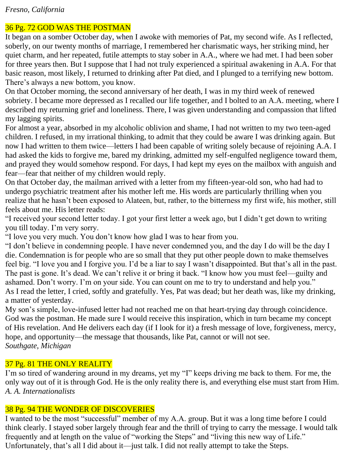# 36 Pg. 72 GOD WAS THE POSTMAN

It began on a somber October day, when I awoke with memories of Pat, my second wife. As I reflected, soberly, on our twenty months of marriage, I remembered her charismatic ways, her striking mind, her quiet charm, and her repeated, futile attempts to stay sober in A.A., where we had met. I had been sober for three years then. But I suppose that I had not truly experienced a spiritual awakening in A.A. For that basic reason, most likely, I returned to drinking after Pat died, and I plunged to a terrifying new bottom. There's always a new bottom, you know.

On that October morning, the second anniversary of her death, I was in my third week of renewed sobriety. I became more depressed as I recalled our life together, and I bolted to an A.A. meeting, where I described my returning grief and loneliness. There, I was given understanding and compassion that lifted my lagging spirits.

For almost a year, absorbed in my alcoholic oblivion and shame, I had not written to my two teen-aged children. I refused, in my irrational thinking, to admit that they could be aware I was drinking again. But now I had written to them twice—letters I had been capable of writing solely because of rejoining A.A. I had asked the kids to forgive me, bared my drinking, admitted my self-engulfed negligence toward them, and prayed they would somehow respond. For days, I had kept my eyes on the mailbox with anguish and fear—fear that neither of my children would reply.

On that October day, the mailman arrived with a letter from my fifteen-year-old son, who had had to undergo psychiatric treatment after his mother left me. His words are particularly thrilling when you realize that he hasn't been exposed to Alateen, but, rather, to the bitterness my first wife, his mother, still feels about me. His letter reads:

"I received your second letter today. I got your first letter a week ago, but I didn't get down to writing you till today. I'm very sorry.

"I love you very much. You don't know how glad I was to hear from you.

"I don't believe in condemning people. I have never condemned you, and the day I do will be the day I die. Condemnation is for people who are so small that they put other people down to make themselves feel big. "I love you and I forgive you. I'd be a liar to say I wasn't disappointed. But that's all in the past. The past is gone. It's dead. We can't relive it or bring it back. "I know how you must feel—guilty and ashamed. Don't worry. I'm on your side. You can count on me to try to understand and help you." As I read the letter, I cried, softly and gratefully. Yes, Pat was dead; but her death was, like my drinking, a matter of yesterday.

My son's simple, love-infused letter had not reached me on that heart-trying day through coincidence. God was the postman. He made sure I would receive this inspiration, which in turn became my concept of His revelation. And He delivers each day (if I look for it) a fresh message of love, forgiveness, mercy, hope, and opportunity—the message that thousands, like Pat, cannot or will not see. *Southgate, Michigan* 

# 37 Pg. 81 THE ONLY REALITY

I'm so tired of wandering around in my dreams, yet my "I" keeps driving me back to them. For me, the only way out of it is through God. He is the only reality there is, and everything else must start from Him. *A. A. Internationalists* 

#### 38 Pg. 94 THE WONDER OF DISCOVERIES

I wanted to be the most "successful" member of my A.A. group. But it was a long time before I could think clearly. I stayed sober largely through fear and the thrill of trying to carry the message. I would talk frequently and at length on the value of "working the Steps" and "living this new way of Life." Unfortunately, that's all I did about it—just talk. I did not really attempt to take the Steps.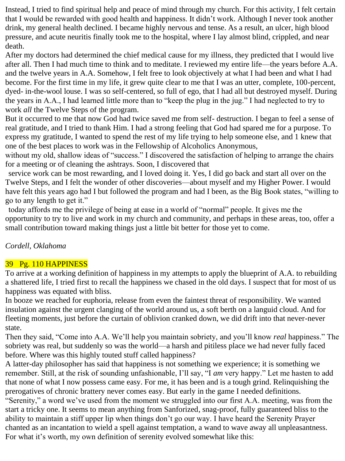Instead, I tried to find spiritual help and peace of mind through my church. For this activity, I felt certain that I would be rewarded with good health and happiness. It didn't work. Although I never took another drink, my general health declined. I became highly nervous and tense. As a result, an ulcer, high blood pressure, and acute neuritis finally took me to the hospital, where I lay almost blind, crippled, and near death.

After my doctors had determined the chief medical cause for my illness, they predicted that I would live after all. Then I had much time to think and to meditate. I reviewed my entire life—the years before A.A. and the twelve years in A.A. Somehow, I felt free to look objectively at what I had been and what I had become. For the first time in my life, it grew quite clear to me that I was an utter, complete, 100-percent, dyed- in-the-wool louse. I was so self-centered, so full of ego, that I had all but destroyed myself. During the years in A.A., I had learned little more than to "keep the plug in the jug." I had neglected to try to work *all* the Twelve Steps of the program.

But it occurred to me that now God had twice saved me from self- destruction. I began to feel a sense of real gratitude, and I tried to thank Him. I had a strong feeling that God had spared me for a purpose. To express my gratitude, I wanted to spend the rest of my life trying to help someone else, and 1 knew that one of the best places to work was in the Fellowship of Alcoholics Anonymous,

without my old, shallow ideas of "success." I discovered the satisfaction of helping to arrange the chairs for a meeting or of cleaning the ashtrays. Soon, I discovered that

service work can be most rewarding, and I loved doing it. Yes, I did go back and start all over on the Twelve Steps, and I felt the wonder of other discoveries—about myself and my Higher Power. I would have felt this years ago had I but followed the program and had I been, as the Big Book states, "willing to go to any length to get it."

today affords me the privilege of being at ease in a world of "normal" people. It gives me the opportunity to try to live and work in my church and community, and perhaps in these areas, too, offer a small contribution toward making things just a little bit better for those yet to come.

# *Cordell, Oklahoma*

# 39 Pg. 110 HAPPINESS

To arrive at a working definition of happiness in my attempts to apply the blueprint of A.A. to rebuilding a shattered life, I tried first to recall the happiness we chased in the old days. I suspect that for most of us happiness was equated with bliss.

In booze we reached for euphoria, release from even the faintest threat of responsibility. We wanted insulation against the urgent clanging of the world around us, a soft berth on a languid cloud. And for fleeting moments, just before the curtain of oblivion cranked down, we did drift into that never-never state.

Then they said, "Come into A.A. We'll help you maintain sobriety, and you'll know *real* happiness." The sobriety was real, but suddenly so was the world—a harsh and pitiless place we had never fully faced before. Where was this highly touted stuff called happiness?

A latter-day philosopher has said that happiness is not something we experience; it is something we remember. Still, at the risk of sounding unfashionable, I'll say, "I *am* very happy." Let me hasten to add that none of what I now possess came easy. For me, it has been and is a tough grind. Relinquishing the prerogatives of chronic brattery never comes easy. But early in the game I needed definitions.

"Serenity," a word we've used from the moment we struggled into our first A.A. meeting, was from the start a tricky one. It seems to mean anything from Sanforized, snag-proof, fully guaranteed bliss to the ability to maintain a stiff upper lip when things don't go our way. I have heard the Serenity Prayer chanted as an incantation to wield a spell against temptation, a wand to wave away all unpleasantness. For what it's worth, my own definition of serenity evolved somewhat like this: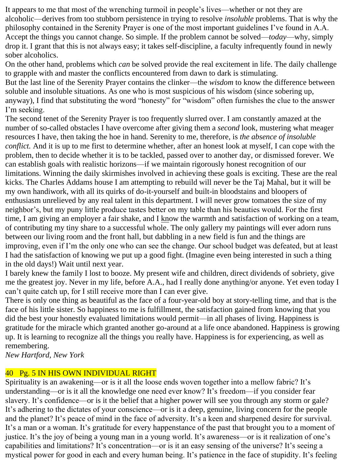It appears to me that most of the wrenching turmoil in people's lives—whether or not they are alcoholic—derives from too stubborn persistence in trying to resolve *insoluble* problems. That is why the philosophy contained in the Serenity Prayer is one of the most important guidelines I've found in A.A. Accept the things you cannot change. So simple. If the problem cannot be solved—*today*—why, simply drop it. I grant that this is not always easy; it takes self-discipline, a faculty infrequently found in newly sober alcoholics.

On the other hand, problems which *can* be solved provide the real excitement in life. The daily challenge to grapple with and master the conflicts encountered from dawn to dark is stimulating.

But the last line of the Serenity Prayer contains the clinker—the *wisdom* to know the difference between soluble and insoluble situations. As one who is most suspicious of his wisdom (since sobering up, anyway), I find that substituting the word "honesty" for "wisdom" often furnishes the clue to the answer I'm seeking.

The second tenet of the Serenity Prayer is too frequently slurred over. I am constantly amazed at the number of so-called obstacles I have overcome after giving them a *second* look, mustering what meager resources I have, then taking the hoe in hand. Serenity to me, therefore, is *the absence of insoluble conflict.* And it is up to me first to determine whether, after an honest look at myself, I can cope with the problem, then to decide whether it is to be tackled, passed over to another day, or dismissed forever. We can establish goals with realistic horizons—if we maintain rigorously honest recognition of our limitations. Winning the daily skirmishes involved in achieving these goals is exciting. These are the real kicks. The Charles Addams house I am attempting to rebuild will never be the Taj Mahal, but it will be my own handiwork, with all its quirks of do-it-yourself and built-in bloodstains and bloopers of enthusiasm unrelieved by any real talent in this department. I will never grow tomatoes the size of my neighbor's, but my puny little produce tastes better on my table than his beauties would. For the first time, I am giving an employer a fair shake, and I know the warmth and satisfaction of working on a team, of contributing my tiny share to a successful whole. The only gallery my paintings will ever adorn runs between our living room and the front hall, but dabbling in a new field is fun and the things are improving, even if I'm the only one who can see the change. Our school budget was defeated, but at least I had the satisfaction of knowing we put up a good fight. (Imagine even being interested in such a thing in the old days!) Wait until next year.

I barely knew the family I lost to booze. My present wife and children, direct dividends of sobriety, give me the greatest joy. Never in my life, before A.A., had I really done anything/or anyone. Yet even today I can't quite catch up, for I still receive more than I can ever give.

There is only one thing as beautiful as the face of a four-year-old boy at story-telling time, and that is the face of his little sister. So happiness to me is fulfillment, the satisfaction gained from knowing that you did the best your honestly evaluated limitations would permit—in all phases of living. Happiness is gratitude for the miracle which granted another go-around at a life once abandoned. Happiness is growing up. It is learning to recognize all the things you really have. Happiness is for experiencing, as well as remembering.

*New Hartford, New York* 

# 40 Pg. 5 IN HIS OWN INDIVIDUAL RIGHT

Spirituality is an awakening—or is it all the loose ends woven together into a mellow fabric? It's understanding—or is it all the knowledge one need ever know? It's freedom—if you consider fear slavery. It's confidence—or is it the belief that a higher power will see you through any storm or gale? It's adhering to the dictates of your conscience—or is it a deep, genuine, living concern for the people and the planet? It's peace of mind in the face of adversity. It's a keen and sharpened desire for survival. It's a man or a woman. It's gratitude for every happenstance of the past that brought you to a moment of justice. It's the joy of being a young man in a young world. It's awareness—or is it realization of one's capabilities and limitations? It's concentration—or is it an easy sensing of the universe? It's seeing a mystical power for good in each and every human being. It's patience in the face of stupidity. It's feeling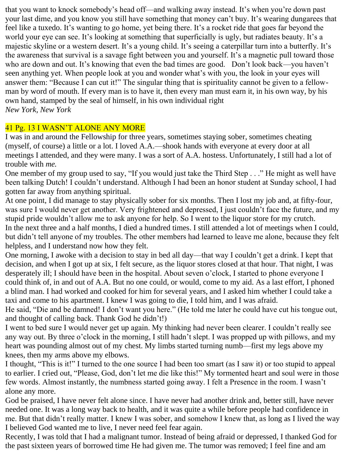that you want to knock somebody's head off—and walking away instead. It's when you're down past your last dime, and you know you still have something that money can't buy. It's wearing dungarees that feel like a tuxedo. It's wanting to go home, yet being there. It's a rocket ride that goes far beyond the world your eye can see. It's looking at something that superficially is ugly, but radiates beauty. It's a majestic skyline or a western desert. It's a young child. It's seeing a caterpillar turn into a butterfly. It's the awareness that survival is a savage fight between you and yourself. It's a magnetic pull toward those who are down and out. It's knowing that even the bad times are good. Don't look back—you haven't seen anything yet. When people look at you and wonder what's with you, the look in your eyes will answer them: "Because I can cut it!" The singular thing that is spirituality cannot be given to a fellowman by word of mouth. If every man is to have it, then every man must earn it, in his own way, by his own hand, stamped by the seal of himself, in his own individual right *New York, New York* 

#### 41 Pg. 13 I WASN'T ALONE ANY MORE

I was in and around the Fellowship for three years, sometimes staying sober, sometimes cheating (myself, of course) a little or a lot. I loved A.A.—shook hands with everyone at every door at all meetings I attended, and they were many. I was a sort of A.A. hostess. Unfortunately, I still had a lot of trouble with *me.* 

One member of my group used to say, "If you would just take the Third Step . . ." He might as well have been talking Dutch! I couldn't understand. Although I had been an honor student at Sunday school, I had gotten far away from anything spiritual.

At one point, I did manage to stay physically sober for six months. Then I lost my job and, at fifty-four, was sure I would never get another. Very frightened and depressed, I just couldn't face the future, and my stupid pride wouldn't allow me to ask anyone for help. So I went to the liquor store for my crutch.

In the next three and a half months, I died a hundred times. I still attended a lot of meetings when I could, but didn't tell anyone of my troubles. The other members had learned to leave me alone, because they felt helpless, and I understand now how they felt.

One morning, I awoke with a decision to stay in bed all day—that way I couldn't get a drink. I kept that decision, and when I got up at six, I felt secure, as the liquor stores closed at that hour. That night, I was desperately ill; I should have been in the hospital. About seven o'clock, I started to phone everyone I could think of, in and out of A.A. But no one could, or would, come to my aid. As a last effort, I phoned a blind man. I had worked and cooked for him for several years, and I asked him whether I could take a taxi and come to his apartment. I knew I was going to die, I told him, and I was afraid.

He said, "Die and be damned! I don't want you here." (He told me later he could have cut his tongue out, and thought of calling back. Thank God he didn't!)

I went to bed sure I would never get up again. My thinking had never been clearer. I couldn't really see any way out. By three o'clock in the morning, I still hadn't slept. I was propped up with pillows, and my heart was pounding almost out of my chest. My limbs started turning numb—first my legs above my knees, then my arms above my elbows.

I thought, "This is it!" I turned to the one source I had been too smart (as I saw it) or too stupid to appeal to earlier. I cried out, "Please, God, don't let me die like this!" My tormented heart and soul were in those few words. Almost instantly, the numbness started going away. I felt a Presence in the room. I wasn't alone any more.

God be praised, I have never felt alone since. I have never had another drink and, better still, have never needed one. It was a long way back to health, and it was quite a while before people had confidence in me. But that didn't really matter. I knew I was sober, and somehow I knew that, as long as I lived the way I believed God wanted me to live, I never need feel fear again.

Recently, I was told that I had a malignant tumor. Instead of being afraid or depressed, I thanked God for the past sixteen years of borrowed time He had given me. The tumor was removed; I feel fine and am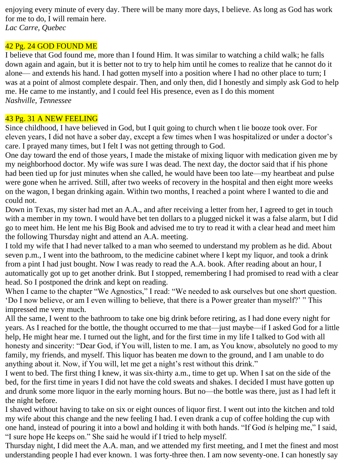enjoying every minute of every day. There will be many more days, I believe. As long as God has work for me to do, I will remain here.

*Lac Carre, Quebec* 

#### 42 Pg. 24 GOD FOUND ME

I believe that God found me, more than I found Him. It was similar to watching a child walk; he falls down again and again, but it is better not to try to help him until he comes to realize that he cannot do it alone— and extends his hand. I had gotten myself into a position where I had no other place to turn; I was at a point of almost complete despair. Then, and only then, did I honestly and simply ask God to help me. He came to me instantly, and I could feel His presence, even as I do this moment *Nashville, Tennessee* 

# 43 Pg. 31 A NEW FEELING

Since childhood, I have believed in God, but I quit going to church when t lie booze took over. For eleven years, I did not have a sober day, except a few times when I was hospitalized or under a doctor's care. I prayed many times, but I felt I was not getting through to God.

One day toward the end of those years, I made the mistake of mixing liquor with medication given me by my neighborhood doctor. My wife was sure I was dead. The next day, the doctor said that if his phone had been tied up for just minutes when she called, he would have been too late—my heartbeat and pulse were gone when he arrived. Still, after two weeks of recovery in the hospital and then eight more weeks on the wagon, I began drinking again. Within two months, I reached a point where I wanted to die and could not.

Down in Texas, my sister had met an A.A., and after receiving a letter from her, I agreed to get in touch with a member in my town. I would have bet ten dollars to a plugged nickel it was a false alarm, but I did go to meet him. He lent me his Big Book and advised me to try to read it with a clear head and meet him the following Thursday night and attend an A.A. meeting.

I told my wife that I had never talked to a man who seemed to understand my problem as he did. About seven p.m., I went into the bathroom, to the medicine cabinet where I kept my liquor, and took a drink from a pint I had just bought. Now I was ready to read the A.A. book. After reading about an hour, I automatically got up to get another drink. But I stopped, remembering I had promised to read with a clear head. So I postponed the drink and kept on reading.

When I came to the chapter "We Agnostics," I read: "We needed to ask ourselves but one short question. 'Do I now believe, or am I even willing to believe, that there is a Power greater than myself?' " This impressed me very much.

All the same, I went to the bathroom to take one big drink before retiring, as I had done every night for years. As I reached for the bottle, the thought occurred to me that—just maybe—if I asked God for a little help, He might hear me. I turned out the light, and for the first time in my life I talked to God with all honesty and sincerity: "Dear God, if You will, listen to me. I am, as You know, absolutely no good to my family, my friends, and myself. This liquor has beaten me down to the ground, and I am unable to do anything about it. Now, if You will, let me get a night's rest without this drink."

I went to bed. The first thing I knew, it was six-thirty a.m., time to get up. When I sat on the side of the bed, for the first time in years I did not have the cold sweats and shakes. I decided I must have gotten up and drunk some more liquor in the early morning hours. But no—the bottle was there, just as I had left it the night before.

I shaved without having to take on six or eight ounces of liquor first. I went out into the kitchen and told my wife about this change and the new feeling I had. I even drank a cup of coffee holding the cup with one hand, instead of pouring it into a bowl and holding it with both hands. "If God *is* helping me," I said, "I sure hope He keeps on." She said he would if I tried to help myself.

Thursday night, I did meet the A.A. man, and we attended my first meeting, and I met the finest and most understanding people I had ever known. 1 was forty-three then. I am now seventy-one. I can honestly say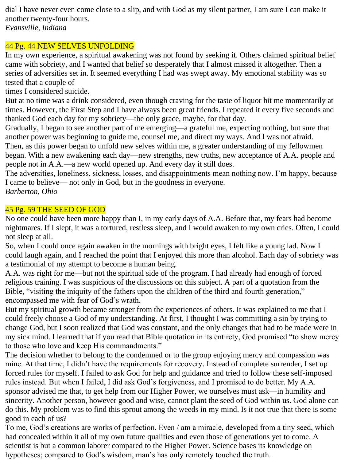dial I have never even come close to a slip, and with God as my silent partner, I am sure I can make it another twenty-four hours.

*Evansville, Indiana* 

# 44 Pg. 44 NEW SELVES UNFOLDING

In my own experience, a spiritual awakening was not found by seeking it. Others claimed spiritual belief came with sobriety, and I wanted that belief so desperately that I almost missed it altogether. Then a series of adversities set in. It seemed everything I had was swept away. My emotional stability was so tested that a couple of

times I considered suicide.

But at no time was a drink considered, even though craving for the taste of liquor hit me momentarily at times. However, the First Step and I have always been great friends. I repeated it every five seconds and thanked God each day for my sobriety—the only grace, maybe, for that day.

Gradually, I began to see another part of me emerging—a grateful me, expecting nothing, but sure that another power was beginning to guide me, counsel me, and direct my ways. And I was not afraid.

Then, as this power began to unfold new selves within me, a greater understanding of my fellowmen began. With a new awakening each day—new strengths, new truths, new acceptance of A.A. people and people not in A.A.—a new world opened up. And every day it still does.

The adversities, loneliness, sickness, losses, and disappointments mean nothing now. I'm happy, because I came to believe— not only in God, but in the goodness in everyone.

*Barberton, Ohio* 

# 45 Pg. 59 THE SEED OF GOD

No one could have been more happy than I, in my early days of A.A. Before that, my fears had become nightmares. If I slept, it was a tortured, restless sleep, and I would awaken to my own cries. Often, I could not sleep at all.

So, when I could once again awaken in the mornings with bright eyes, I felt like a young lad. Now I could laugh again, and I reached the point that I enjoyed this more than alcohol. Each day of sobriety was a testimonial of my attempt to become a human being.

A.A. was right for me—but not the spiritual side of the program. I had already had enough of forced religious training. I was suspicious of the discussions on this subject. A part of a quotation from the Bible, "visiting the iniquity of the fathers upon the children of the third and fourth generation," encompassed me with fear of God's wrath.

But my spiritual growth became stronger from the experiences of others. It was explained to me that I could freely choose a God of my understanding. At first, I thought I was committing a sin by trying to change God, but I soon realized that God was constant, and the only changes that had to be made were in my sick mind. I learned that if you read that Bible quotation in its entirety, God promised "to show mercy to those who love and keep His commandments."

The decision whether to belong to the condemned or to the group enjoying mercy and compassion was mine. At that time, I didn't have the requirements for recovery. Instead of complete surrender, I set up forced rules for myself. I failed to ask God for help and guidance and tried to follow these self-imposed rules instead. But when I failed, I did ask God's forgiveness, and I promised to do better. My A.A. sponsor advised me that, to get help from our Higher Power, we ourselves must ask—in humility and sincerity. Another person, however good and wise, cannot plant the seed of God within us. God alone can do this. My problem was to find this sprout among the weeds in my mind. Is it not true that there is some good in each of us?

To me, God's creations are works of perfection. Even / am a miracle, developed from a tiny seed, which had concealed within it all of my own future qualities and even those of generations yet to come. A scientist is but a common laborer compared to the Higher Power. Science bases its knowledge on hypotheses; compared to God's wisdom, man's has only remotely touched the truth.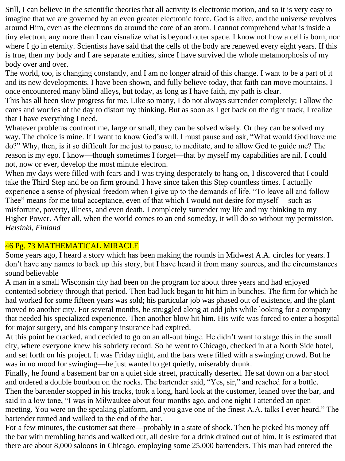Still, I can believe in the scientific theories that all activity is electronic motion, and so it is very easy to imagine that we are governed by an even greater electronic force. God is alive, and the universe revolves around Him, even as the electrons do around the core of an atom. I cannot comprehend what is inside a tiny electron, any more than I can visualize what is beyond outer space. I know not how a cell is born, nor where I go in eternity. Scientists have said that the cells of the body are renewed every eight years. If this is true, then my body and I are separate entities, since I have survived the whole metamorphosis of my body over and over.

The world, too, is changing constantly, and I am no longer afraid of this change. I want to be a part of it and its new developments. I have been shown, and fully believe today, that faith can move mountains. I once encountered many blind alleys, but today, as long as I have faith, my path is clear.

This has all been slow progress for me. Like so many, I do not always surrender completely; I allow the cares and worries of the day to distort my thinking. But as soon as I get back on the right track, I realize that I have everything I need.

Whatever problems confront me, large or small, they can be solved wisely. Or they can be solved my way. The choice is mine. If I want to know God's will, I must pause and ask, "What would God have me do?" Why, then, is it so difficult for me just to pause, to meditate, and to allow God to guide me? The reason is my ego. I know—though sometimes I forget—that by myself my capabilities are nil. I could not, now or ever, develop the most minute electron.

When my days were filled with fears and I was trying desperately to hang on, I discovered that I could take the Third Step and be on firm ground. I have since taken this Step countless times. I actually experience a sense of physical freedom when I give up to the demands of life. "To leave all and follow Thee" means for me total acceptance, even of that which I would not desire for myself— such as misfortune, poverty, illness, and even death. I completely surrender my life and my thinking to my Higher Power. After all, when the world comes to an end someday, it will do so without my permission. *Helsinki, Finland* 

# 46 Pg. 73 MATHEMATICAL MIRACLE

Some years ago, I heard a story which has been making the rounds in Midwest A.A. circles for years. I don't have any names to back up this story, but I have heard it from many sources, and the circumstances sound believable

A man in a small Wisconsin city had been on the program for about three years and had enjoyed contented sobriety through that period. Then bad luck began to hit him in bunches. The firm for which he had worked for some fifteen years was sold; his particular job was phased out of existence, and the plant moved to another city. For several months, he struggled along at odd jobs while looking for a company that needed his specialized experience. Then another blow hit him. His wife was forced to enter a hospital for major surgery, and his company insurance had expired.

At this point he cracked, and decided to go on an all-out binge. He didn't want to stage this in the small city, where everyone knew his sobriety record. So he went to Chicago, checked in at a North Side hotel, and set forth on his project. It was Friday night, and the bars were filled with a swinging crowd. But he was in no mood for swinging—he just wanted to get quietly, miserably drunk.

Finally, he found a basement bar on a quiet side street, practically deserted. He sat down on a bar stool and ordered a double bourbon on the rocks. The bartender said, "Yes, sir," and reached for a bottle. Then the bartender stopped in his tracks, took a long, hard look at the customer, leaned over the bar, and said in a low tone, "I was in Milwaukee about four months ago, and one night I attended an open meeting. You were on the speaking platform, and you gave one of the finest A.A. talks I ever heard." The bartender turned and walked to the end of the bar.

For a few minutes, the customer sat there—probably in a state of shock. Then he picked his money off the bar with trembling hands and walked out, all desire for a drink drained out of him. It is estimated that there are about 8,000 saloons in Chicago, employing some 25,000 bartenders. This man had entered the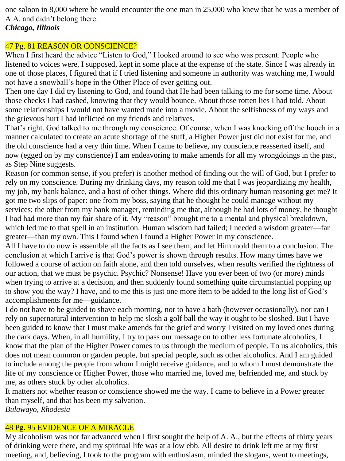one saloon in 8,000 where he would encounter the one man in 25,000 who knew that he was a member of A.A. and didn't belong there.

#### *Chicago, Illinois*

#### 47 Pg. 81 REASON OR CONSCIENCE?

When I first heard the advice "Listen to God," I looked around to see who was present. People who listened to voices were, I supposed, kept in some place at the expense of the state. Since I was already in one of those places, I figured that if I tried listening and someone in authority was watching me, I would not have a snowball's hope in the Other Place of ever getting out.

Then one day I did try listening to God, and found that He had been talking to me for some time. About those checks I had cashed, knowing that they would bounce. About those rotten lies I had told. About some relationships I would not have wanted made into a movie. About the selfishness of my ways and the grievous hurt I had inflicted on my friends and relatives.

That's right. God talked to me through my conscience. Of course, when I was knocking off the hooch in a manner calculated to create an acute shortage of the stuff, a Higher Power just did not exist for me, and the old conscience had a very thin time. When I came to believe, my conscience reasserted itself, and now (egged on by my conscience) I am endeavoring to make amends for all my wrongdoings in the past, as Step Nine suggests.

Reason (or common sense, if you prefer) is another method of finding out the will of God, but I prefer to rely on my conscience. During my drinking days, my reason told me that I was jeopardizing my health, my job, my bank balance, and a host of other things. Where did this ordinary human reasoning get me? It got me two slips of paper: one from my boss, saying that he thought he could manage without my services; the other from my bank manager, reminding me that, although he had lots of money, he thought I had had more than my fair share of it. My "reason" brought me to a mental and physical breakdown, which led me to that spell in an institution. Human wisdom had failed; I needed a wisdom greater—far greater—than my own. This I found when I found a Higher Power in my conscience.

All I have to do now is assemble all the facts as I see them, and let Him mold them to a conclusion. The conclusion at which I arrive is that God's power is shown through results. How many times have we followed a course of action on faith alone, and then told ourselves, when results verified the rightness of our action, that we must be psychic. Psychic? Nonsense! Have you ever been of two (or more) minds when trying to arrive at a decision, and then suddenly found something quite circumstantial popping up to show you the way? I have, and to me this is just one more item to be added to the long list of God's accomplishments for me—guidance.

I do not have to be guided to shave each morning, nor to have a bath (however occasionally), nor can I rely on supernatural intervention to help me slosh a golf ball the way it ought to be sloshed. But I have been guided to know that I must make amends for the grief and worry I visited on my loved ones during the dark days. When, in all humility, I try to pass our message on to other less fortunate alcoholics, I know that the plan of the Higher Power comes to us through the medium of people. To us alcoholics, this does not mean common or garden people, but special people, such as other alcoholics. And I am guided to include among the people from whom I might receive guidance, and to whom I must demonstrate the life of my conscience or Higher Power, those who married me, loved me, befriended me, and stuck by me, as others stuck by other alcoholics.

It matters not whether reason or conscience showed me the way. I came to believe in a Power greater than myself, and that has been my salvation. *Bulawayo, Rhodesia* 

# 48 Pg. 95 EVIDENCE OF A MIRACLE

My alcoholism was not far advanced when I first sought the help of A. A., but the effects of thirty years of drinking were there, and my spiritual life was at a low ebb. All desire to drink left me at my first meeting, and, believing, I took to the program with enthusiasm, minded the slogans, went to meetings,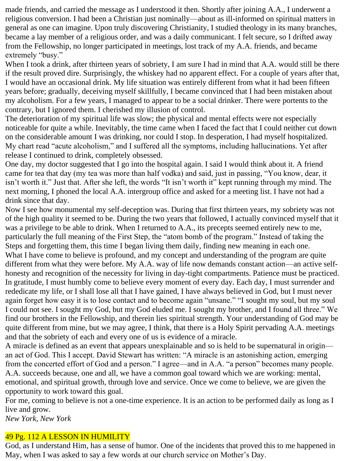made friends, and carried the message as I understood it then. Shortly after joining A.A., I underwent a religious conversion. I had been a Christian just nominally—about as ill-informed on spiritual matters in general as one can imagine. Upon truly discovering Christianity, I studied theology in its many branches, became a lay member of a religious order, and was a daily communicant. I felt secure, so I drifted away from the Fellowship, no longer participated in meetings, lost track of my A.A. friends, and became extremely "busy."

When I took a drink, after thirteen years of sobriety, I am sure I had in mind that A.A. would still be there if the result proved dire. Surprisingly, the whiskey had no apparent effect. For a couple of years after that, I would have an occasional drink. My life situation was entirely different from what it had been fifteen years before; gradually, deceiving myself skillfully, I became convinced that I had been mistaken about my alcoholism. For a few years, I managed to appear to be a social drinker. There were portents to the contrary, but I ignored them. I cherished my illusion of control.

The deterioration of my spiritual life was slow; the physical and mental effects were not especially noticeable for quite a while. Inevitably, the time came when I faced the fact that I could neither cut down on the considerable amount I was drinking, nor could I stop. In desperation, I had myself hospitalized. My chart read "acute alcoholism," and I suffered all the symptoms, including hallucinations. Yet after release I continued to drink, completely obsessed.

One day, my doctor suggested that I go into the hospital again. I said I would think about it. A friend came for tea that day (my tea was more than half vodka) and said, just in passing, "You know, dear, it isn't worth it." Just that. After she left, the words "It isn't worth it" kept running through my mind. The next morning, I phoned the local A.A. intergroup office and asked for a meeting list. I have not had a drink since that day.

Now I see how monumental my self-deception was. During that first thirteen years, my sobriety was not of the high quality it seemed to be. During the two years that followed, I actually convinced myself that it was a privilege to be able to drink. When I returned to A.A., its precepts seemed entirely new to me, particularly the full meaning of the First Step, the "atom bomb of the program." Instead of taking the Steps and forgetting them, this time I began living them daily, finding new meaning in each one. What I have come to believe is profound, and my concept and understanding of the program are quite different from what they were before. My A.A. way of life now demands constant action—an active selfhonesty and recognition of the necessity for living in day-tight compartments. Patience must be practiced. In gratitude, I must humbly come to believe every moment of every day. Each day, I must surrender and rededicate my life, or I shall lose all that I have gained, I have always believed in God, but I must never again forget how easy it is to lose contact and to become again "unsane." "I sought my soul, but my soul I could not see. I sought my God, but my God eluded me. I sought my brother, and I found all three." We find our brothers in the Fellowship, and therein lies spiritual strength. Your understanding of God may be quite different from mine, but we may agree, I think, that there is a Holy Spirit pervading A.A. meetings and that the sobriety of each and every one of us is evidence of a miracle.

A miracle is defined as an event that appears unexplainable and so is held to be supernatural in origin an act of God. This I accept. David Stewart has written: "A miracle is an astonishing action, emerging from the concerted effort of God and a person." I agree—and in A.A. "a person" becomes many people. A.A. succeeds because, one and all, we have a common goal toward which we are working: mental, emotional, and spiritual growth, through love and service. Once we come to believe, we are given the opportunity to work toward this goal.

For me, coming to believe is not a one-time experience. It is an action to be performed daily as long as I live and grow.

*New York, New York* 

# 49 Pg. 112 A LESSON IN HUMILITY

God, as I understand Him, has a sense of humor. One of the incidents that proved this to me happened in May, when I was asked to say a few words at our church service on Mother's Day.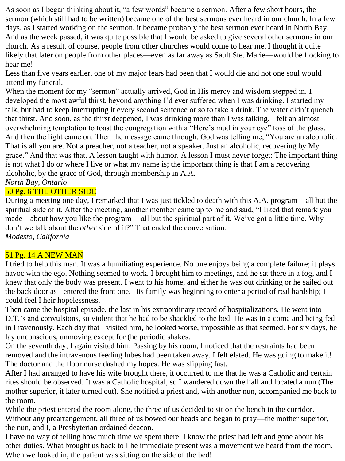As soon as I began thinking about it, "a few words" became a sermon. After a few short hours, the sermon (which still had to be written) became one of the best sermons ever heard in our church. In a few days, as I started working on the sermon, it became probably the best sermon ever heard in North Bay. And as the week passed, it was quite possible that I would be asked to give several other sermons in our church. As a result, of course, people from other churches would come to hear me. I thought it quite likely that later on people from other places—even as far away as Sault Ste. Marie—would be flocking to hear me!

Less than five years earlier, one of my major fears had been that I would die and not one soul would attend my funeral.

When the moment for my "sermon" actually arrived, God in His mercy and wisdom stepped in. I developed the most awful thirst, beyond anything I'd ever suffered when I was drinking. I started my talk, but had to keep interrupting it every second sentence or so to take a drink. The water didn't quench that thirst. And soon, as the thirst deepened, I was drinking more than I was talking. I felt an almost overwhelming temptation to toast the congregation with a "Here's mud in your eye" toss of the glass. And then the light came on. Then the message came through. God was telling me, "You are an alcoholic. That is all you are. Not a preacher, not a teacher, not a speaker. Just an alcoholic, recovering by My grace." And that was that. A lesson taught with humor. A lesson I must never forget: The important thing is not what I do or where I live or what my name is; the important thing is that I am a recovering alcoholic, by the grace of God, through membership in A.A.

*North Bay, Ontario* 

#### 50 Pg. 6 THE OTHER SIDE

During a meeting one day, I remarked that I was just tickled to death with this A.A. program—all but the spiritual side of it. After the meeting, another member came up to me and said, "I liked that remark you made—about how you like the program— all but the spiritual part of it. We've got a little time. Why don't we talk about the *other* side of it?" That ended the conversation. *Modesto, California* 

#### 51 Pg. 14 A NEW MAN

I tried to help this man. It was a humiliating experience. No one enjoys being a complete failure; it plays havoc with the ego. Nothing seemed to work. I brought him to meetings, and he sat there in a fog, and I knew that only the body was present. I went to his home, and either he was out drinking or he sailed out the back door as I entered the front one. His family was beginning to enter a period of real hardship; I could feel I heir hopelessness.

Then came the hospital episode, the last in his extraordinary record of hospitalizations. He went into D.T.'s and convulsions, so violent that he had to be shackled to the bed. He was in a coma and being fed in I ravenously. Each day that I visited him, he looked worse, impossible as that seemed. For six days, he lay unconscious, unmoving except for (he periodic shakes.

On the seventh day, I again visited him. Passing by his room, I noticed that the restraints had been removed and the intravenous feeding lubes had been taken away. I felt elated. He was going to make it! The doctor and the floor nurse dashed my hopes. He was slipping fast.

After I had arranged to have his wife brought there, it occurred to me that he was a Catholic and certain rites should be observed. It was a Catholic hospital, so I wandered down the hall and located a nun (The mother superior, it later turned out). She notified a priest and, with another nun, accompanied me back to the room.

While the priest entered the room alone, the three of us decided to sit on the bench in the corridor. Without any prearrangement, all three of us bowed our heads and began to pray—the mother superior, the nun, and I, a Presbyterian ordained deacon.

I have no way of telling how much time we spent there. I know the priest had left and gone about his other duties. What brought us back to I he immediate present was a movement we heard from the room. When we looked in, the patient was sitting on the side of the bed!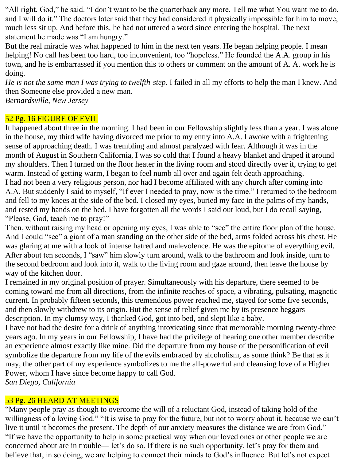"All right, God," he said. "I don't want to be the quarterback any more. Tell me what You want me to do, and I will do it." The doctors later said that they had considered it physically impossible for him to move, much less sit up. And before this, he had not uttered a word since entering the hospital. The next statement he made was "I am hungry."

But the real miracle was what happened to him in the next ten years. He began helping people. I mean helping! No call has been too hard, too inconvenient, too "hopeless." He founded the A.A. group in his town, and he is embarrassed if you mention this to others or comment on the amount of A. A. work he is doing.

*He is not the same man I was trying to twelfth-step.* I failed in all my efforts to help the man I knew. And then Someone else provided a new man.

*Bernardsville, New Jersey* 

#### 52 Pg. 16 FIGURE OF EVIL

It happened about three in the morning. I had been in our Fellowship slightly less than a year. I was alone in the house, my third wife having divorced me prior to my entry into A.A. I awoke with a frightening sense of approaching death. I was trembling and almost paralyzed with fear. Although it was in the month of August in Southern California, I was so cold that I found a heavy blanket and draped it around my shoulders. Then I turned on the floor heater in the living room and stood directly over it, trying to get warm. Instead of getting warm, I began to feel numb all over and again felt death approaching. I had not been a very religious person, nor had I become affiliated with any church after coming into A.A. But suddenly I said to myself, "If ever I needed to pray, now is the time." I returned to the bedroom and fell to my knees at the side of the bed. I closed my eyes, buried my face in the palms of my hands, and rested my hands on the bed. I have forgotten all the words I said out loud, but I do recall saying, "Please, God, teach me to pray!"

Then, without raising my head or opening my eyes, I was able to "see" the entire floor plan of the house. And I could "see" a giant of a man standing on the other side of the bed, arms folded across his chest. He was glaring at me with a look of intense hatred and malevolence. He was the epitome of everything evil. After about ten seconds, I "saw" him slowly turn around, walk to the bathroom and look inside, turn to the second bedroom and look into it, walk to the living room and gaze around, then leave the house by way of the kitchen door.

I remained in my original position of prayer. Simultaneously with his departure, there seemed to be coming toward me from all directions, from the infinite reaches of space, a vibrating, pulsating, magnetic current. In probably fifteen seconds, this tremendous power reached me, stayed for some five seconds, and then slowly withdrew to its origin. But the sense of relief given me by its presence beggars description. In my clumsy way, I thanked God, got into bed, and slept like a baby.

I have not had the desire for a drink of anything intoxicating since that memorable morning twenty-three years ago. In my years in our Fellowship, I have had the privilege of hearing one other member describe an experience almost exactly like mine. Did the departure from my house of the personification of evil symbolize the departure from my life of the evils embraced by alcoholism, as some think? Be that as it may, the other part of my experience symbolizes to me the all-powerful and cleansing love of a Higher Power, whom I have since become happy to call God.

*San Diego, California* 

# 53 Pg. 26 HEARD AT MEETINGS

"Many people pray as though to overcome the will of a reluctant God, instead of taking hold of the willingness of a loving God." "It is wise to pray for the future, but not to worry about it, because we can't live it until it becomes the present. The depth of our anxiety measures the distance we are from God." "If we have the opportunity to help in some practical way when our loved ones or other people we are concerned about are in trouble— let's do so. If there is no such opportunity, let's pray for them and believe that, in so doing, we are helping to connect their minds to God's influence. But let's not expect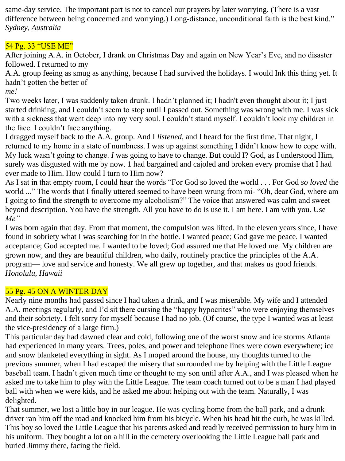same-day service. The important part is not to cancel our prayers by later worrying. (There is a vast difference between being concerned and worrying.) Long-distance, unconditional faith is the best kind." *Sydney, Australia* 

# 54 Pg. 33 "USE ME"

After joining A.A. in October, I drank on Christmas Day and again on New Year's Eve, and no disaster followed. I returned to my

A.A. group feeing as smug as anything, because I had survived the holidays. I would Ink this thing yet. It hadn't gotten the better of

#### *me!*

Two weeks later, I was suddenly taken drunk. I hadn't planned it; I hadn't even thought about it; I just started drinking, and I couldn't seem to stop until I passed out. Something was wrong with me. I was sick with a sickness that went deep into my very soul. I couldn't stand myself. I couldn't look my children in the face. I couldn't face anything.

I dragged myself back to the A.A. group. And I *listened,* and I heard for the first time. That night, I returned to my home in a state of numbness. I was up against something I didn't know how to cope with. My luck wasn't going to change. *I* was going to have to change. But could I? God, as I understood Him, surely was disgusted with me by now. 1 had bargained and cajoled and broken every promise that I had ever made to Him. How could I turn to Him now?

As I sat in that empty room, I could hear the words "For God so loved the world . . . For God *so loved* the world ..." The words that I finally uttered seemed to have been wrung from mi- "Oh, dear God, where am I going to find the strength to overcome my alcoholism?" The voice that answered was calm and sweet beyond description. You have the strength. All you have to do is use it. I am here. I am with you. Use *Me"* 

I was born again that day. From that moment, the compulsion was lifted. In the eleven years since, I have found in sobriety what I was searching for in the bottle. I wanted peace; God gave me peace. I wanted acceptance; God accepted me. I wanted to be loved; God assured me that He loved me. My children are grown now, and they are beautiful children, who daily, routinely practice the principles of the A.A. program— love and service and honesty. We all grew up together, and that makes us good friends. *Honolulu, Hawaii* 

# 55 Pg. 45 ON A WINTER DAY

Nearly nine months had passed since I had taken a drink, and I was miserable. My wife and I attended A.A. meetings regularly, and I'd sit there cursing the "happy hypocrites" who were enjoying themselves and their sobriety. I felt sorry for myself because I had no job. (Of course, the type I wanted was at least the vice-presidency of a large firm.)

This particular day had dawned clear and cold, following one of the worst snow and ice storms Atlanta had experienced in many years. Trees, poles, and power and telephone lines were down everywhere; ice and snow blanketed everything in sight. As I moped around the house, my thoughts turned to the previous summer, when I had escaped the misery that surrounded me by helping with the Little League baseball team. I hadn't given much time or thought to my son until after A.A., and I was pleased when he asked me to take him to play with the Little League. The team coach turned out to be a man I had played ball with when we were kids, and he asked me about helping out with the team. Naturally, I was delighted.

That summer, we lost a little boy in our league. He was cycling home from the ball park, and a drunk driver ran him off the road and knocked him from his bicycle. When his head hit the curb, he was killed. This boy so loved the Little League that his parents asked and readily received permission to bury him in his uniform. They bought a lot on a hill in the cemetery overlooking the Little League ball park and buried Jimmy there, facing the field.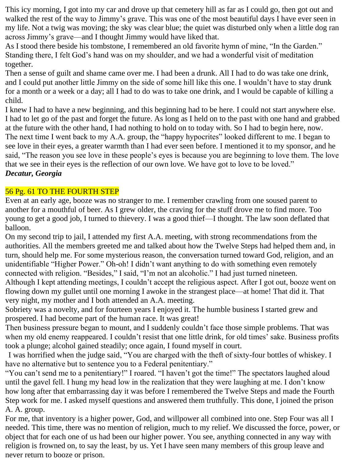This icy morning, I got into my car and drove up that cemetery hill as far as I could go, then got out and walked the rest of the way to Jimmy's grave. This was one of the most beautiful days I have ever seen in my life. Not a twig was moving; the sky was clear blue; the quiet was disturbed only when a little dog ran across Jimmy's grave—and I thought Jimmy would have liked that.

As I stood there beside his tombstone, I remembered an old favorite hymn of mine, "In the Garden." Standing there, I felt God's hand was on my shoulder, and we had a wonderful visit of meditation together.

Then a sense of guilt and shame came over me. I had been a drunk. All I had to do was take one drink, and I could put another little Jimmy on the side of some hill like this one. I wouldn't have to stay drunk for a month or a week or a day; all I had to do was to take one drink, and I would be capable of killing a child.

I knew I had to have a new beginning, and this beginning had to be here. I could not start anywhere else. I had to let go of the past and forget the future. As long as I held on to the past with one hand and grabbed at the future with the other hand, I had nothing to hold on to today with. So I had to begin here, now. The next time I went back to my A.A. group, the "happy hypocrites" looked different to me. I began to see love in their eyes, a greater warmth than I had ever seen before. I mentioned it to my sponsor, and he said, "The reason you see love in these people's eyes is because you are beginning to love them. The love that we see in their eyes is the reflection of our own love. We have got to love to be loved." *Decatur, Georgia* 

# 56 Pg. 61 TO THE FOURTH STEP

Even at an early age, booze was no stranger to me. I remember crawling from one soused parent to another for a mouthful of beer. As I grew older, the craving for the stuff drove me to find more. Too young to get a good job, I turned to thievery. I was a good thief—I thought. The law soon deflated that balloon.

On my second trip to jail, I attended my first A.A. meeting, with strong recommendations from the authorities. All the members greeted me and talked about how the Twelve Steps had helped them and, in turn, should help me. For some mysterious reason, the conversation turned toward God, religion, and an unidentifiable "Higher Power." Oh-oh! I didn't want anything to do with something even remotely connected with religion. "Besides," I said, "I'm not an alcoholic." I had just turned nineteen. Although I kept attending meetings, I couldn't accept the religious aspect. After I got out, booze went on flowing down my gullet until one morning I awoke in the strangest place—at home! That did it. That very night, my mother and I both attended an A.A. meeting.

Sobriety was a novelty, and for fourteen years I enjoyed it. The humble business I started grew and prospered. I had become part of the human race. It was great!

Then business pressure began to mount, and I suddenly couldn't face those simple problems. That was when my old enemy reappeared. I couldn't resist that one little drink, for old times' sake. Business profits took a plunge; alcohol gained steadily; once again, I found myself in court.

I was horrified when the judge said, "You are charged with the theft of sixty-four bottles of whiskey. I have no alternative but to sentence you to a Federal penitentiary."

"You can't send me to a penitentiary!" I roared. "I haven't got the time!" The spectators laughed aloud until the gavel fell. I hung my head low in the realization that they were laughing at me. I don't know how long after that embarrassing day it was before I remembered the Twelve Steps and made the Fourth Step work for me. I asked myself questions and answered them truthfully. This done, I joined the prison A. A. group.

For me, that inventory is a higher power, God, and willpower all combined into one. Step Four was all I needed. This time, there was no mention of religion, much to my relief. We discussed the force, power, or object that for each one of us had been our higher power. You see, anything connected in any way with religion is frowned on, to say the least, by us. Yet I have seen many members of this group leave and never return to booze or prison.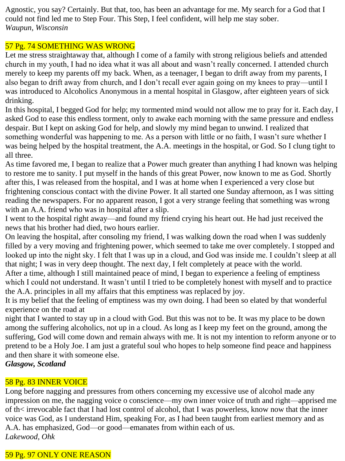Agnostic, you say? Certainly. But that, too, has been an advantage for me. My search for a God that I could not find led me to Step Four. This Step, I feel confident, will help me stay sober. *Waupun, Wisconsin* 

#### 57 Pg. 74 SOMETHING WAS WRONG

Let me stress straightaway that, although I come of a family with strong religious beliefs and attended church in my youth, I had no idea what it was all about and wasn't really concerned. I attended church merely to keep my parents off my back. When, as a teenager, I began to drift away from my parents, I also began to drift away from church, and I don't recall ever again going on my knees to pray—until I was introduced to Alcoholics Anonymous in a mental hospital in Glasgow, after eighteen years of sick drinking.

In this hospital, I begged God for help; my tormented mind would not allow me to pray for it. Each day, I asked God to ease this endless torment, only to awake each morning with the same pressure and endless despair. But I kept on asking God for help, and slowly my mind began to unwind. I realized that something wonderful was happening to me. As a person with little or no faith, I wasn't sure whether I was being helped by the hospital treatment, the A.A. meetings in the hospital, or God. So I clung tight to all three.

As time favored me, I began to realize that a Power much greater than anything I had known was helping to restore me to sanity. I put myself in the hands of this great Power, now known to me as God. Shortly after this, I was released from the hospital, and I was at home when I experienced a very close but frightening conscious contact with the divine Power. It all started one Sunday afternoon, as I was sitting reading the newspapers. For no apparent reason, I got a very strange feeling that something was wrong with an A.A. friend who was in hospital after a slip.

I went to the hospital right away—and found my friend crying his heart out. He had just received the news that his brother had died, two hours earlier.

On leaving the hospital, after consoling my friend, I was walking down the road when I was suddenly filled by a very moving and frightening power, which seemed to take me over completely. I stopped and looked up into the night sky. I felt that I was up in a cloud, and God was inside me. I couldn't sleep at all that night; I was in very deep thought. The next day, I felt completely at peace with the world.

After a time, although I still maintained peace of mind, I began to experience a feeling of emptiness which I could not understand. It wasn't until I tried to be completely honest with myself and to practice the A.A. principles in all my affairs that this emptiness was replaced by joy.

It is my belief that the feeling of emptiness was my own doing. I had been so elated by that wonderful experience on the road at

night that I wanted to stay up in a cloud with God. But this was not to be. It was my place to be down among the suffering alcoholics, not up in a cloud. As long as I keep my feet on the ground, among the suffering, God will come down and remain always with me. It is not my intention to reform anyone or to pretend to be a Holy Joe. I am just a grateful soul who hopes to help someone find peace and happiness and then share it with someone else.

*Glasgow, Scotland* 

# 58 Pg. 83 INNER VOICE

Long before nagging and pressures from others concerning my excessive use of alcohol made any impression on me, the nagging voice o conscience—my own inner voice of truth and right—apprised me of th< irrevocable fact that I had lost control of alcohol, that I was powerless, know now that the inner voice was God, as I understand Him, speaking For, as I had been taught from earliest memory and as A.A. has emphasized, God—or good—emanates from within each of us. *Lakewood, Ohk*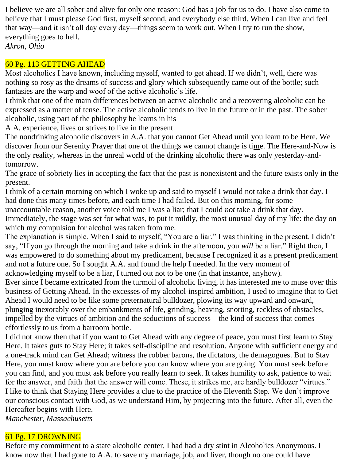I believe we are all sober and alive for only one reason: God has a job for us to do. I have also come to believe that I must please God first, myself second, and everybody else third. When I can live and feel that way—and it isn't all day every day—things seem to work out. When I try to run the show, everything goes to hell. *Akron, Ohio* 

#### 60 Pg. 113 GETTING AHEAD

Most alcoholics I have known, including myself, wanted to get ahead. If we didn't, well, there was nothing so rosy as the dreams of success and glory which subsequently came out of the bottle; such fantasies are the warp and woof of the active alcoholic's life.

I think that one of the main differences between an active alcoholic and a recovering alcoholic can be expressed as a matter of tense. The active alcoholic tends to live in the future or in the past. The sober alcoholic, using part of the philosophy he learns in his

A.A. experience, lives or strives to live in the present.

The nondrinking alcoholic discovers in A.A. that you cannot Get Ahead until you learn to be Here. We discover from our Serenity Prayer that one of the things we cannot change is time. The Here-and-Now is the only reality, whereas in the unreal world of the drinking alcoholic there was only yesterday-andtomorrow.

The grace of sobriety lies in accepting the fact that the past is nonexistent and the future exists only in the present.

I think of a certain morning on which I woke up and said to myself I would not take a drink that day. I had done this many times before, and each time I had failed. But on this morning, for some unaccountable reason, another voice told me I was a liar; that I could *not* take a drink that day. Immediately, the stage was set for what was, to put it mildly, the most unusual day of my life: the day on which my compulsion for alcohol was taken from me.

The explanation is simple. When I said to myself, "You are a liar," I was thinking in the present. I didn't say, "If you go through the morning and take a drink in the afternoon, you *will* be a liar." Right then, I was empowered to do something about my predicament, because I recognized it as a present predicament and not a future one. So I sought A.A. and found the help I needed. In the very moment of acknowledging myself to be a liar, I turned out not to be one (in that instance, anyhow).

Ever since I became extricated from the turmoil of alcoholic living, it has interested me to muse over this business of Getting Ahead. In the excesses of my alcohol-inspired ambition, I used to imagine that to Get Ahead I would need to be like some preternatural bulldozer, plowing its way upward and onward, plunging inexorably over the embankments of life, grinding, heaving, snorting, reckless of obstacles, impelled by the virtues of ambition and the seductions of success—the kind of success that comes

effortlessly to us from a barroom bottle.

I did not know then that if you want to Get Ahead with any degree of peace, you must first learn to Stay Here. It takes guts to Stay Here; it takes self-discipline and resolution. Anyone with sufficient energy and a one-track mind can Get Ahead; witness the robber barons, the dictators, the demagogues. But to Stay Here, you must know where you are before you can know where you are going. You must seek before you can find, and you must ask before you really learn to seek. It takes humility to ask, patience to wait for the answer, and faith that the answer will come. These, it strikes me, are hardly bulldozer "virtues." I like to think that Staying Here provides a clue to the practice of the Eleventh Step. We don't improve our conscious contact with God, as we understand Him, by projecting into the future. After all, even the Hereafter begins with Here.

*Manchester, Massachusetts* 

# 61 Pg. 17 DROWNING

Before my commitment to a state alcoholic center, I had had a dry stint in Alcoholics Anonymous. I know now that I had gone to A.A. to save my marriage, job, and liver, though no one could have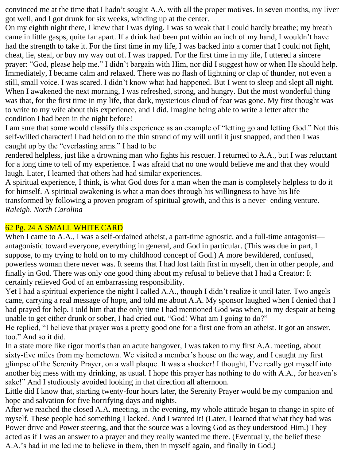convinced me at the time that I hadn't sought A.A. with all the proper motives. In seven months, my liver got well, and I got drunk for six weeks, winding up at the center.

On my eighth night there, I knew that I was dying. I was so weak that I could hardly breathe; my breath came in little gasps, quite far apart. If a drink had been put within an inch of my hand, I wouldn't have had the strength to take it. For the first time in my life, I was backed into a corner that I could not fight, cheat, lie, steal, or buy my way out of. I was trapped. For the first time in my life, I uttered a sincere prayer: "God, please help me." I didn't bargain with Him, nor did I suggest how or when He should help. Immediately, I became calm and relaxed. There was no flash of lightning or clap of thunder, not even a still, small voice. I was scared. I didn't know what had happened. But I went to sleep and slept all night. When I awakened the next morning, I was refreshed, strong, and hungry. But the most wonderful thing was that, for the first time in my life, that dark, mysterious cloud of fear was gone. My first thought was to write to my wife about this experience, and I did. Imagine being able to write a letter after the condition I had been in the night before!

I am sure that some would classify this experience as an example of "letting go and letting God." Not this self-willed character! I had held on to the thin strand of my will until it just snapped, and then I was caught up by the "everlasting arms." I had to be

rendered helpless, just like a drowning man who fights his rescuer. I returned to A.A., but I was reluctant for a long time to tell of my experience. I was afraid that no one would believe me and that they would laugh. Later, I learned that others had had similar experiences.

A spiritual experience, I think, is what God does for a man when the man is completely helpless to do it for himself. A spiritual awakening is what a man does through his willingness to have his life transformed by following a proven program of spiritual growth, and this is a never- ending venture. *Raleigh, North Carolina* 

#### 62 Pg. 24 A SMALL WHITE CARD

When I came to A.A., I was a self-ordained atheist, a part-time agnostic, and a full-time antagonist antagonistic toward everyone, everything in general, and God in particular. (This was due in part, I suppose, to my trying to hold on to my childhood concept of God.) A more bewildered, confused, powerless woman there never was. It seems that I had lost faith first in myself, then in other people, and finally in God. There was only one good thing about my refusal to believe that I had a Creator: It certainly relieved God of an embarrassing responsibility.

Yet I had a spiritual experience the night I called A.A., though I didn't realize it until later. Two angels came, carrying a real message of hope, and told me about A.A. My sponsor laughed when I denied that I had prayed for help. I told him that the only time I had mentioned God was when, in my despair at being unable to get either drunk or sober, I had cried out, "God! What am I going to do?"

He replied, "I believe that prayer was a pretty good one for a first one from an atheist. It got an answer, too." And so it did.

In a state more like rigor mortis than an acute hangover, I was taken to my first A.A. meeting, about sixty-five miles from my hometown. We visited a member's house on the way, and I caught my first glimpse of the Serenity Prayer, on a wall plaque. It was a shocker! I thought, I've really got myself into another big mess with my drinking, as usual. I hope this prayer has nothing to do with A.A., for heaven's sake!" And I studiously avoided looking in that direction all afternoon.

Little did I know that, starting twenty-four hours later, the Serenity Prayer would be my companion and hope and salvation for five horrifying days and nights.

After we reached the closed A.A. meeting, in the evening, my whole attitude began to change in spite of myself. These people had something I lacked. And I wanted it! (Later, I learned that what they had was Power drive and Power steering, and that the source was a loving God as they understood Him.) They acted as if I was an answer to a prayer and they really wanted me there. (Eventually, the belief these A.A.'s had in me led me to believe in them, then in myself again, and finally in God.)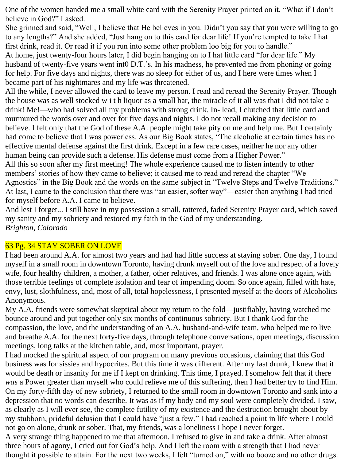One of the women handed me a small white card with the Serenity Prayer printed on it. "What if I don't believe in God?" I asked.

She grinned and said, "Well, I believe that He believes in you. Didn't you say that you were willing to go to any lengths?" And she added, "Just hang on to this card for dear life! If you're tempted to take I hat first drink, read it. Or read it if you run into some other problem loo big for you to handle." At home, just twenty-four hours later, I did begin hanging on to I hat little card "for dear life." My husband of twenty-five years went int0 D.T.'s. In his madness, he prevented me from phoning or going for help. For five days and nights, there was no sleep for either of us, and I here were times when I became part of his nightmares and my life was threatened.

All the while, I never allowed the card to leave my person. I read and reread the Serenity Prayer. Though the house was as well stocked w i t h liquor as a small bar, the miracle of it all was that I did not take a drink! Me!—who had solved all my problems with strong drink. In- lead, I clutched that little card and murmured the words over and over for five days and nights. I do not recall making any decision to believe. I felt only that the God of these A.A. people might take pity on me and help me. But I certainly had come to believe that I was powerless. As our Big Book states, "The alcoholic at certain times has no effective mental defense against the first drink. Except in a few rare cases, neither he nor any other human being can provide such a defense. His defense must come from a Higher Power."

All this so soon after my first meeting! The whole experience caused me to listen intently to other members' stories of how they came to believe; it caused me to read and reread the chapter "We Agnostics" in the Big Book and the words on the same subject in "Twelve Steps and Twelve Traditions." At last, I came to the conclusion that there was "an easier, softer way"—easier than anything I had tried for myself before A.A. I came to believe.

And lest I forget... I still have in my possession a small, tattered, faded Serenity Prayer card, which saved my sanity and my sobriety and restored my faith in the God of my understanding. *Brighton, Colorado* 

#### 63 Pg. 34 STAY SOBER ON LOVE

I had been around A.A. for almost two years and had had little success at staying sober. One day, I found myself in a small room in downtown Toronto, having drunk myself out of the love and respect of a lovely wife, four healthy children, a mother, a father, other relatives, and friends. I was alone once again, with those terrible feelings of complete isolation and fear of impending doom. So once again, filled with hate, envy, lust, slothfulness, and, most of all, total hopelessness, I presented myself at the doors of Alcoholics Anonymous.

My A.A. friends were somewhat skeptical about my return to the fold—justifiably, having watched me bounce around and put together only six months of continuous sobriety. But I thank God for the compassion, the love, and the understanding of an A.A. husband-and-wife team, who helped me to live and breathe A.A. for the next forty-five days, through telephone conversations, open meetings, discussion meetings, long talks at the kitchen table, and, most important, prayer.

I had mocked the spiritual aspect of our program on many previous occasions, claiming that this God business was for sissies and hypocrites. But this time it was different. After my last drunk, I knew that it would be death or insanity for me if I kept on drinking. This time, I prayed. I somehow felt that if there *was* a Power greater than myself who could relieve me of this suffering, then I had better try to find Him. On my forty-fifth day of new sobriety, I returned to the small room in downtown Toronto and sank into a depression that no words can describe. It was as if my body and my soul were completely divided. I saw, as clearly as I will ever see, the complete futility of my existence and the destruction brought about by my stubborn, prideful delusion that I could have "just a few." I had reached a point in life where I could not go on alone, drunk or sober. That, my friends, was a loneliness I hope I never forget.

A very strange thing happened to me that afternoon. I refused to give in and take a drink. After almost three hours of agony, I cried out for God's help. And I left the room with a strength that I had never thought it possible to attain. For the next two weeks, I felt "turned on," with no booze and no other drugs.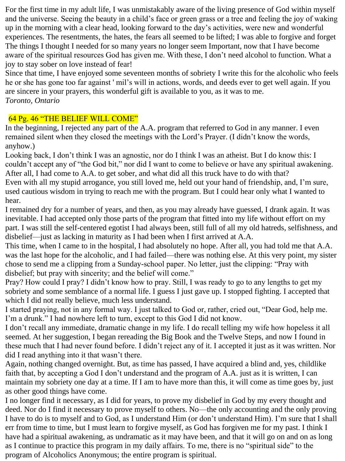For the first time in my adult life, I was unmistakably aware of the living presence of God within myself and the universe. Seeing the beauty in a child's face or green grass or a tree and feeling the joy of waking up in the morning with a clear head, looking forward to the day's activities, were new and wonderful experiences. The resentments, the hates, the fears all seemed to be lifted; I was able to forgive and forget The things I thought I needed for so many years no longer seem Important, now that I have become aware of the spiritual resources God has given me. With these, I don't need alcohol to function. What a joy to stay sober on love instead of fear!

Since that time, I have enjoyed some seventeen months of sobriety I write this for the alcoholic who feels he or she has gone too far against ' mil's will in actions, words, and deeds ever to get well again. If you are sincere in your prayers, this wonderful gift is available to you, as it was to me. *Toronto, Ontario*

#### 64 Pg. 46 "THE BELIEF WILL COME"

In the beginning, I rejected any part of the A.A. program that referred to God in any manner. I even remained silent when they closed the meetings with the Lord's Prayer. (I didn't know the words, anyhow.)

Looking back, I don't think I was an agnostic, nor do I think I was an atheist. But I do know this: I couldn't accept any of "the God bit," nor did I want to come to believe or have any spiritual awakening. After all, I had come to A.A. to get sober, and what did all this truck have to do with that? Even with all my stupid arrogance, you still loved me, held out your hand of friendship, and, I'm sure, used cautious wisdom in trying to reach me with the program. But I could hear only what I wanted to hear.

I remained dry for a number of years, and then, as you may already have guessed, I drank again. It was inevitable. I had accepted only those parts of the program that fitted into my life without effort on my part. I was still the self-centered egotist I had always been, still full of all my old hatreds, selfishness, and disbelief—just as lacking in maturity as I had been when I first arrived at A.A.

This time, when I came to in the hospital, I had absolutely no hope. After all, you had told me that A.A. was the last hope for the alcoholic, and I had failed—there was nothing else. At this very point, my sister chose to send me a clipping from a Sunday-school paper. No letter, just the clipping: "Pray with disbelief; but pray with sincerity; and the belief will come."

Pray? How could I pray? I didn't know how to pray. Still, I was ready to go to any lengths to get my sobriety and some semblance of a normal life. I guess I just gave up. I stopped fighting. I accepted that which I did not really believe, much less understand.

I started praying, not in any formal way. I just talked to God or, rather, cried out, "Dear God, help me. I'm a drunk." I had nowhere left to turn, except to this God I did not know.

I don't recall any immediate, dramatic change in my life. I do recall telling my wife how hopeless it all seemed. At her suggestion, I began rereading the Big Book and the Twelve Steps, and now I found in these much that I had never found before. I didn't reject any of it. I accepted it just as it was written. Nor did I read anything into it that wasn't there.

Again, nothing changed overnight. But, as time has passed, I have acquired a blind and, yes, childlike faith that, by accepting a God I don't understand and the program of A.A. just as it is written, I can maintain my sobriety one day at a time. If I am to have more than this, it will come as time goes by, just as other good things have come.

I no longer find it necessary, as I did for years, to prove my disbelief in God by my every thought and deed. Nor do I find it necessary to prove myself to others. No—the only accounting and the only proving I have to do is to myself and to God, as I understand Him (or don't understand Him). I'm sure that I shall err from time to time, but I must learn to forgive myself, as God has forgiven me for my past. I think I have had a spiritual awakening, as undramatic as it may have been, and that it will go on and on as long as I continue to practice this program in my daily affairs. To me, there is no "spiritual side" to the program of Alcoholics Anonymous; the entire program is spiritual.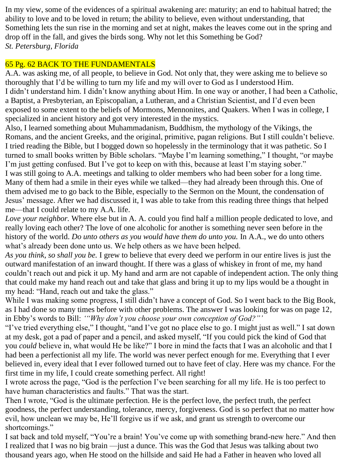In my view, some of the evidences of a spiritual awakening are: maturity; an end to habitual hatred; the ability to love and to be loved in return; the ability to believe, even without understanding, that Something lets the sun rise in the morning and set at night, makes the leaves come out in the spring and drop off in the fall, and gives the birds song. Why not let this Something be God? *St. Petersburg, Florida* 

# 65 Pg. 62 BACK TO THE FUNDAMENTALS

A.A. was asking me, of all people, to believe in God. Not only that, they were asking me to believe so thoroughly that I'd be willing to turn my life and my will over to God as I understood Him. I didn't understand him. I didn't know anything about Him. In one way or another, I had been a Catholic, a Baptist, a Presbyterian, an Episcopalian, a Lutheran, and a Christian Scientist, and I'd even been exposed to some extent to the beliefs of Mormons, Mennonites, and Quakers. When I was in college, I specialized in ancient history and got very interested in the mystics.

Also, I learned something about Muhammadanism, Buddhism, the mythology of the Vikings, the Romans, and the ancient Greeks, and the original, primitive, pagan religions. But I still couldn't believe. I tried reading the Bible, but I bogged down so hopelessly in the terminology that it was pathetic. So I turned to small books written by Bible scholars. "Maybe I'm learning something," I thought, "or maybe I'm just getting confused. But I've got to keep on with this, because at least I'm staying sober." I was still going to A.A. meetings and talking to older members who had been sober for a long time. Many of them had a smile in their eyes while we talked—they had already been through this. One of them advised me to go back to the Bible, especially to the Sermon on the Mount, the condensation of Jesus' message. After we had discussed it, I was able to take from this reading three things that helped me—that I could relate to my A.A. life.

*Love your neighbor.* Where else but in A. A. could you find half a million people dedicated to love, and really loving each other? The love of one alcoholic for another is something never seen before in the history of the world. *Do unto others as you would have them do unto you.* In A.A., we do unto others what's already been done unto us. We help others as we have been helped.

*As you think, so shall you be.* I grew to believe that every deed we perform in our entire lives is just the outward manifestation of an inward thought. If there was a glass of whiskey in front of me, my hand couldn't reach out and pick it up. My hand and arm are not capable of independent action. The only thing that could make my hand reach out and take that glass and bring it up to my lips would be a thought in my head: "Hand, reach out and take the glass."

While I was making some progress, I still didn't have a concept of God. So I went back to the Big Book, as I had done so many times before with other problems. The answer I was looking for was on page 12, in Ebby's words to Bill: *'"Why don't you choose your own conception of God?"'* 

"I've tried everything else," I thought, "and I've got no place else to go. I might just as well." I sat down at my desk, got a pad of paper and a pencil, and asked myself, "If you could pick the kind of God that you *could* believe in, what would He be like?" I bore in mind the facts that I was an alcoholic and that I had been a perfectionist all my life. The world was never perfect enough for me. Everything that I ever believed in, every ideal that I ever followed turned out to have feet of clay. Here was my chance. For the first time in my life, I could create something perfect. All right!

I wrote across the page, "God is the perfection I've been searching for all my life. He is too perfect to have human characteristics and faults." That was the start.

Then I wrote, "God is the ultimate perfection. He is the perfect love, the perfect truth, the perfect goodness, the perfect understanding, tolerance, mercy, forgiveness. God is so perfect that no matter how evil, how unclean we may be, He'll forgive us if we ask, and grant us strength to overcome our shortcomings."

I sat back and told myself, "You're a brain! You've come up with something brand-new here." And then I realized that I was no big brain —just a dunce. This was the God that Jesus was talking about two thousand years ago, when He stood on the hillside and said He had a Father in heaven who loved all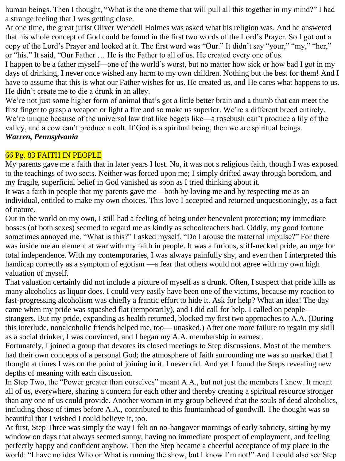human beings. Then I thought, "What is the one theme that will pull all this together in my mind?" I had a strange feeling that I was getting close.

At one time, the great jurist Oliver Wendell Holmes was asked what his religion was. And he answered that his whole concept of God could be found in the first two words of the Lord's Prayer. So I got out a copy of the Lord's Prayer and looked at it. The first word was "Our." It didn't say "your," "my," "her," or "his." It said, "Our Father … He is the Father to all of us. He created every one of us.

I happen to be a father myself—one of the world's worst, but no matter how sick or how bad I got in my days of drinking, I never once wished any harm to my own children. Nothing but the best for them! And I have to assume that this is what our Father wishes for us. He created us, and He cares what happens to us. He didn't create me to die a drunk in an alley.

We're not just some higher form of animal that's got a little better brain and a thumb that can meet the first finger to grasp a weapon or light a fire and so make us superior. We're a different breed entirely. We're unique because of the universal law that like begets like—a rosebush can't produce a lily of the valley, and a cow can't produce a colt. If God is a spiritual being, then we are spiritual beings. *Warren, Pennsylvania*

#### 66 Pg. 83 FAITH IN PEOPLE

My parents gave me a faith that in later years I lost. No, it was not s religious faith, though I was exposed to the teachings of two sects. Neither was forced upon me; I simply drifted away through boredom, and my fragile, superficial belief in God vanished as soon as I tried thinking about it.

It was a faith in people that my parents gave me—both by loving me and by respecting me as an individual, entitled to make my own choices. This love I accepted and returned unquestioningly, as a fact of nature.

Out in the world on my own, I still had a feeling of being under benevolent protection; my immediate bosses (of both sexes) seemed to regard me as kindly as schoolteachers had. Oddly, my good fortune sometimes annoyed me. "What is this?" I asked myself. "Do I arouse the maternal impulse?" For there was inside me an element at war with my faith in people. It was a furious, stiff-necked pride, an urge for total independence. With my contemporaries, I was always painfully shy, and even then I interpreted this handicap correctly as a symptom of egotism —a fear that others would not agree with my own high valuation of myself.

That valuation certainly did not include a picture of myself as a drunk. Often, I suspect that pride kills as many alcoholics as liquor does. I could very easily have been one of the victims, because my reaction to fast-progressing alcoholism was chiefly a frantic effort to hide it. Ask for help? What an idea! The day came when my pride was squashed flat (temporarily), and I did call for help. I called on people strangers. But my pride, expanding as health returned, blocked my first two approaches to A.A. (During

this interlude, nonalcoholic friends helped me, too— unasked.) After one more failure to regain my skill as a social drinker, I was convinced, and I began my A.A. membership in earnest.

Fortunately, I joined a group that devotes its closed meetings to Step discussions. Most of the members had their own concepts of a personal God; the atmosphere of faith surrounding me was so marked that I thought at times I was on the point of joining in it. I never did. And yet I found the Steps revealing new depths of meaning with each discussion.

In Step Two, the "Power greater than ourselves" meant A.A., but not just the members I knew. It meant all of us, everywhere, sharing a concern for each other and thereby creating a spiritual resource stronger than any one of us could provide. Another woman in my group believed that the souls of dead alcoholics, including those of times before A.A., contributed to this fountainhead of goodwill. The thought was so beautiful that I wished I could believe it, too.

At first, Step Three was simply the way I felt on no-hangover mornings of early sobriety, sitting by my window on days that always seemed sunny, having no immediate prospect of employment, and feeling perfectly happy and confident anyhow. Then the Step became a cheerful acceptance of my place in the world: "I have no idea Who or What is running the show, but I know I'm not!" And I could also see Step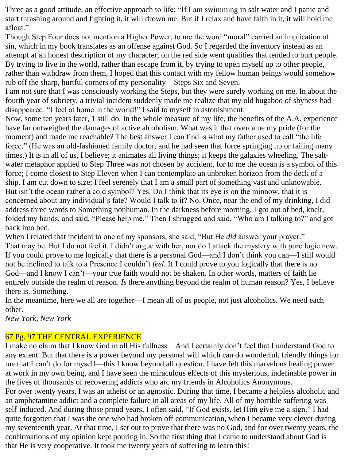Three as a good attitude, an effective approach to life: "If I am swimming in salt water and I panic and start thrashing around and fighting it, it will drown me. But if I relax and have faith in it, it will hold me afloat."

Though Step Four does not mention a Higher Power, to me the word "moral" carried an implication of sin, which in my book translates as an offense against God. So I regarded the inventory instead as an attempt at an honest description of my character; on the red side went qualities that tended to hurt people. By trying to live in the world, rather than escape from it, by trying to open myself up to other people, rather than withdraw from them, I hoped that this contact with my fellow human beings would somehow rub off the sharp, hurtful corners of my personality—Steps Six and Seven.

I am not sure that I was consciously working the Steps, but they were surely working on me. In about the fourth year of sobriety, a trivial incident suddenly made me realize that my old bugaboo of shyness had disappeared. "I feel at home in the world!" I said to myself in astonishment.

Now, some ten years later, 1 still do. In the whole measure of my life, the benefits of the A.A. experience have far outweighed the damages of active alcoholism. What was it that overcame my pride (for the moment) and made me reachable? The best answer I can find is what my father used to call "the life force." (He was an old-fashioned family doctor, and he had seen that force springing up or failing many times.) It is in all of us, I believe; it animates all living things; it keeps the galaxies wheeling. The saltwater metaphor applied to Step Three was not chosen by accident, for to me the ocean is a symbol of this force; I come closest to Step Eleven when I can contemplate an unbroken horizon from the deck of a ship. I am cut down to size; I feel serenely that I am a small part of something vast and unknowable. But isn't the ocean rather a cold symbol? Yes. Do I think that its eye is on the minnow, that it is concerned about any individual's fate? Would I talk to it? No. Once, near the end of my drinking, I did address three words to Something nonhuman. In the darkness before morning, I got out of bed, knelt, folded my hands, and said, "Please help me." Then I shrugged and said, "Who am I talking to?" and got back into bed.

When I related that incident to one of my sponsors, she said, "But He *did* answer your prayer." That may be. But I do not feel it. I didn't argue with her, nor do I attack the mystery with pure logic now. If you could prove to me logically that there is a personal God—and I don't think you can—I still would not be inclined to talk to a Presence I couldn't *feel.* If I could prove to you logically that there is no God—and I know I can't—your true faith would not be shaken. In other words, matters of faith lie entirely outside the realm of reason. *Is* there anything beyond the realm of human reason? Yes, I believe there is. Something.

In the meantime, here we all are together—I mean all of us people, not just alcoholics. We need each other.

*New York, New York* 

#### 67 Pg. 97 THE CENTRAL EXPERIENCE

I make no claim that I know God in all His fullness. And I certainly don't feel that I understand God to any extent. But that there is a power beyond my personal will which can do wonderful, friendly things for me that I can't do for myself—this I know beyond all question. I have felt this marvelous healing power at work in my own being, and I have seen the miraculous effects of this mysterious, indefinable power in the lives of thousands of recovering addicts who arc my friends in Alcoholics Anonymous. For over twenty years, I was an atheist or an agnostic. During that time, I became a helpless alcoholic and an amphetamine addict and a complete failure in all areas of my life. All of my horrible suffering was self-induced. And during those proud years, I often said, "If God exists, let Him give me a sign." I had quite forgotten that I was the one who had broken off communication, when I became very clever during my seventeenth year. At that time, I set out to prove that there was no God, and for over twenty years, the confirmations of my opinion kept pouring in. So the first thing that I came to understand about God is that He is very cooperative. It took me twenty years of suffering to learn this!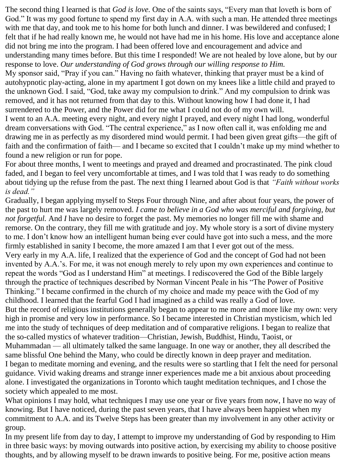The second thing I learned is that *God is love.* One of the saints says, "Every man that loveth is born of God." It was my good fortune to spend my first day in A.A. with such a man. He attended three meetings with me that day, and took me to his home for both lunch and dinner. I was bewildered and confused; I felt that if he had really known me, he would not have had me in his home. His love and acceptance alone did not bring me into the program. I had been offered love and encouragement and advice and understanding many times before. But this time I responded! We are not healed by love alone, but by our response to love. *Our understanding of God grows through our willing response to Him.* 

My sponsor said, "Pray if you can." Having no faith whatever, thinking that prayer must be a kind of autohypnotic play-acting, alone in my apartment I got down on my knees like a little child and prayed to the unknown God. I said, "God, take away my compulsion to drink." And my compulsion to drink was removed, and it has not returned from that day to this. Without knowing how I had done it, I had surrendered to the Power, and the Power did for me what I could not do of my own will.

I went to an A.A. meeting every night, and every night I prayed, and every night I had long, wonderful dream conversations with God. "The central experience," as I now often call it, was enfolding me and drawing me in as perfectly as my disordered mind would permit. I had been given great gifts—the gift of faith and the confirmation of faith— and I became so excited that I couldn't make up my mind whether to found a new religion or run for pope.

For about three months, I went to meetings and prayed and dreamed and procrastinated. The pink cloud faded, and I began to feel very uncomfortable at times, and I was told that I was ready to do something about tidying up the refuse from the past. The next thing I learned about God is that *"Faith without works is dead."* 

Gradually, I began applying myself to Steps Four through Nine, and after about four years, the power of the past to hurt me was largely removed. *I came to believe in a God who was merciful and forgiving, but not forgetful.* And *I* have no desire to forget the past. My memories no longer fill me with shame and remorse. On the contrary, they fill me with gratitude and joy. My whole story is a sort of divine mystery to me. I don't know how an intelligent human being ever could have got into such a mess, and the more firmly established in sanity I become, the more amazed I am that I ever got out of the mess.

Very early in my A.A. life, I realized that the experience of God and the concept of God had not been invented by A.A.'s. For me, it was not enough merely to rely upon my own experiences and continue to repeat the words "God as I understand Him" at meetings. I rediscovered the God of the Bible largely through the practice of techniques described by Norman Vincent Peale in his "The Power of Positive Thinking." I became confirmed in the church of my choice and made my peace with the God of my childhood. I learned that the fearful God I had imagined as a child was really a God of love.

But the record of religious institutions generally began to appear to me more and more like my own: very high in promise and very low in performance. So I became interested in Christian mysticism, which led me into the study of techniques of deep meditation and of comparative religions. I began to realize that the so-called mystics of whatever tradition—Christian, Jewish, Buddhist, Hindu, Taoist, or Muhammadan — all ultimately talked the same language. In one way or another, they all described the same blissful One behind the Many, who could be directly known in deep prayer and meditation. I began to meditate morning and evening, and the results were so startling that I felt the need for personal guidance. Vivid waking dreams and strange inner experiences made me a bit anxious about proceeding alone. I investigated the organizations in Toronto which taught meditation techniques, and I chose the society which appealed to me most.

What opinions I may hold, what techniques I may use one year or five years from now, I have no way of knowing. But I have noticed, during the past seven years, that I have always been happiest when my commitment to A.A. and its Twelve Steps has been greater than my involvement in any other activity or group.

In my present life from day to day, I attempt to improve my understanding of God by responding to Him in three basic ways: by moving outwards into positive action, by exercising my ability to choose positive thoughts, and by allowing myself to be drawn inwards to positive being. For me, positive action means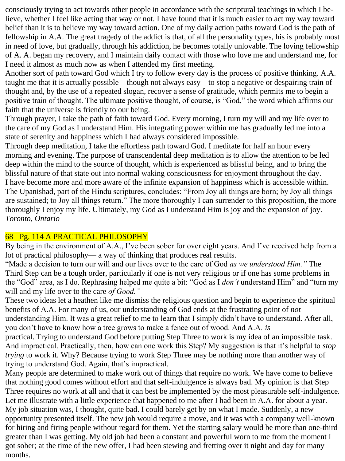consciously trying to act towards other people in accordance with the scriptural teachings in which I believe, whether I feel like acting that way or not. I have found that it is much easier to act my way toward belief than it is to believe my way toward action. One of my daily action paths toward God is the path of fellowship in A.A. The great tragedy of the addict is that, of all the personality types, his is probably most in need of love, but gradually, through his addiction, he becomes totally unlovable. The loving fellowship of A. A. began my recovery, and I maintain daily contact with those who love me and understand me, for I need it almost as much now as when I attended my first meeting.

Another sort of path toward God which I try to follow every day is the process of positive thinking. A.A. taught me that it is actually possible—though not always easy—to stop a negative or despairing train of thought and, by the use of a repeated slogan, recover a sense of gratitude, which permits me to begin a positive train of thought. The ultimate positive thought, of course, is "God," the word which affirms our faith that the universe is friendly to our being.

Through prayer, I take the path of faith toward God. Every morning, I turn my will and my life over to the care of my God as I understand Him. His integrating power within me has gradually led me into a state of serenity and happiness which I had always considered impossible.

Through deep meditation, I take the effortless path toward God. I meditate for half an hour every morning and evening. The purpose of transcendental deep meditation is to allow the attention to be led deep within the mind to the source of thought, which is experienced as blissful being, and to bring the blissful nature of that state out into normal waking consciousness for enjoyment throughout the day. I have become more and more aware of the infinite expansion of happiness which is accessible within. The Upanishad, part of the Hindu scriptures, concludes: "From Joy all things are born; by Joy all things are sustained; to Joy all things return." The more thoroughly I can surrender to this proposition, the more thoroughly I enjoy my life. Ultimately, my God as I understand Him is joy and the expansion of joy. *Toronto, Ontario* 

#### 68 Pg. 114 A PRACTICAL PHILOSOPHY

By being in the environment of A.A., I've been sober for over eight years. And I've received help from a lot of practical philosophy— a way of thinking that produces real results.

"Made a decision to turn our will and our lives over to the care of God *as we understood Him."* The Third Step can be a tough order, particularly if one is not very religious or if one has some problems in the "God" area, as I do. Rephrasing helped me quite a bit: "God as I *don't* understand Him" and "turn my will and my life over to the care *of Good."* 

These two ideas let a heathen like me dismiss the religious question and begin to experience the spiritual benefits of A.A. For many of us, our understanding of God ends at the frustrating point of *not*  understanding Him. It was a great relief to me to learn that I simply didn't have to understand. After all, you don't have to know how a tree grows to make a fence out of wood. And A.A. *is*  practical. Trying to understand God before putting Step Three to work is my idea of an impossible task. And impractical. Practically, then, how can one work this Step? My suggestion is that it's helpful to *stop* 

*trying* to work it. Why? Because trying to work Step Three may be nothing more than another way of trying to understand God. Again, that's impractical.

Many people are determined to make work out of things that require no work. We have come to believe that nothing good comes without effort and that self-indulgence is always bad. My opinion is that Step Three requires no work at all and that it can best be implemented by the most pleasurable self-indulgence. Let me illustrate with a little experience that happened to me after I had been in A.A. for about a year. My job situation was, I thought, quite bad. I could barely get by on what I made. Suddenly, a new opportunity presented itself. The new job would require a move, and it was with a company well-known for hiring and firing people without regard for them. Yet the starting salary would be more than one-third greater than I was getting. My old job had been a constant and powerful worn to me from the moment I got sober; at the time of the new offer, I had been stewing and fretting over it night and day for many months.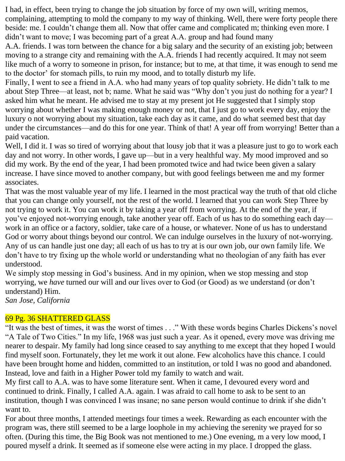I had, in effect, been trying to change the job situation by force of my own will, writing memos, complaining, attempting to mold the company to my way of thinking. Well, there were forty people there beside: me. I couldn't change them all. Now that offer came and complicated m; thinking even more. I didn't want to move; I was becoming part of a great A.A. group and had found many

A.A. friends. I was torn between the chance for a big salary and the security of an existing job; between moving to a strange city and remaining with the A.A. friends I had recently acquired. It may not seem like much of a worry to someone in prison, for instance; but to me, at that time, it was enough to send me to the doctor' for stomach pills, to ruin my mood, and to totally disturb my life.

Finally, I went to see a friend in A.A. who had many years of top quality sobriety. He didn't talk to me about Step Three—at least, not b; name. What he said was "Why don't you just do nothing for a year? I asked him what he meant. He advised me to stay at my present jot He suggested that I simply stop worrying about whether I was making enough money or not, that I just go to work every day, enjoy the luxury o not worrying about my situation, take each day as it came, and do what seemed best that day under the circumstances—and do this for one year. Think of that! A year off from worrying! Better than a paid vacation.

Well, I did it. I was so tired of worrying about that lousy job that it was a pleasure just to go to work each day and not worry. In other words, I gave up—but in a very healthful way. My mood improved and so did my work. By the end of the year, I had been promoted twice and had twice been given a salary increase. I have since moved to another company, but with good feelings between me and my former associates.

That was the most valuable year of my life. I learned in the most practical way the truth of that old cliche that you can change only yourself, not the rest of the world. I learned that you can work Step Three by not trying to work it. You can work it by taking a year off from worrying. At the end of the year, if you've enjoyed not-worrying enough, take another year off. Each of us has to do something each day work in an office or a factory, soldier, take care of a house, or whatever. None of us has to understand God or worry about things beyond our control. We can indulge ourselves in the luxury of not-worrying. Any of us can handle just one day; all each of us has to try at is our own job, our own family life. We don't have to try fixing up the whole world or understanding what no theologian of any faith has ever understood.

We simply stop messing in God's business. And in my opinion, when we stop messing and stop worrying, we *have* turned our will and our lives over to God (or Good) as we understand (or don't understand) Him.

*San Jose, California* 

# 69 Pg. 36 SHATTERED GLASS

"It was the best of times, it was the worst of times . . ." With these words begins Charles Dickens's novel "A Tale of Two Cities." In my life, 1968 was just such a year. As it opened, every move was driving me nearer to despair. My family had long since ceased to say anything to me except that they hoped I would find myself soon. Fortunately, they let me work it out alone. Few alcoholics have this chance. I could have been brought home and hidden, committed to an institution, or told I was no good and abandoned. Instead, love and faith in a Higher Power told my family to watch and wait.

My first call to A.A. was to have some literature sent. When it came, I devoured every word and continued to drink. Finally, I called A.A. again. I was afraid to call home to ask to be sent to an institution, though I was convinced I was insane; no sane person would continue to drink if she didn't want to.

For about three months, I attended meetings four times a week. Rewarding as each encounter with the program was, there still seemed to be a large loophole in my achieving the serenity we prayed for so often. (During this time, the Big Book was not mentioned to me.) One evening, m a very low mood, I poured myself a drink. It seemed as if someone else were acting in my place. I dropped the glass.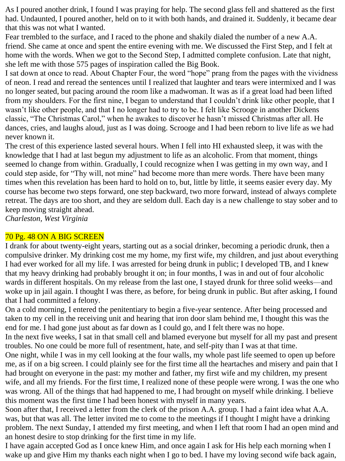As I poured another drink, I found I was praying for help. The second glass fell and shattered as the first had. Undaunted, I poured another, held on to it with both hands, and drained it. Suddenly, it became dear that this was not what I wanted.

Fear trembled to the surface, and I raced to the phone and shakily dialed the number of a new A.A. friend. She came at once and spent the entire evening with me. We discussed the First Step, and I felt at home with the words. When we got to the Second Step, I admitted complete confusion. Late that night, she left me with those 575 pages of inspiration called the Big Book.

I sat down at once to read. About Chapter Four, the word "hope" prang from the pages with the vividness of neon. I read and reread the sentences until I realized that laughter and tears were intermixed and I was no longer seated, but pacing around the room like a madwoman. It was as if a great load had been lifted from my shoulders. For the first nine, I began to understand that I couldn't drink like other people, that I wasn't like other people, and that I no longer had to try to be. I felt like Scrooge in another Dickens classic, "The Christmas Carol," when he awakes to discover he hasn't missed Christmas after all. He dances, cries, and laughs aloud, just as I was doing. Scrooge and I had been reborn to live life as we had never known it.

The crest of this experience lasted several hours. When I fell into HI exhausted sleep, it was with the knowledge that I had at last begun my adjustment to life as an alcoholic. From that moment, things seemed lo change from within. Gradually, I could recognize when I was getting in my own way, and I could step aside, for "Thy will, not mine" had become more than mere words. There have been many times when this revelation has been hard to hold on to, but, little by little, it seems easier every day. My course has become two steps forward, one step backward, two more forward, instead of always complete retreat. The days are too short, and they are seldom dull. Each day is a new challenge to stay sober and to keep moving straight ahead.

*Charleston, West Virginia* 

# 70 Pg. 48 ON A BIG SCREEN

I drank for about twenty-eight years, starting out as a social drinker, becoming a periodic drunk, then a compulsive drinker. My drinking cost me my home, my first wife, my children, and just about everything I had ever worked for all my life. I was arrested for being drunk in public; I developed TB, and I knew that my heavy drinking had probably brought it on; in four months, I was in and out of four alcoholic wards in different hospitals. On my release from the last one, I stayed drunk for three solid weeks—and woke up in jail again. I thought I was there, as before, for being drunk in public. But after asking, I found that I had committed a felony.

On a cold morning, I entered the penitentiary to begin a five-year sentence. After being processed and taken to my cell in the receiving unit and hearing that iron door slam behind me, I thought this was the end for me. I had gone just about as far down as I could go, and I felt there was no hope.

In the next five weeks, I sat in that small cell and blamed everyone but myself for all my past and present troubles. No one could be more full of resentment, hate, and self-pity than I was at that time.

One night, while I was in my cell looking at the four walls, my whole past life seemed to open up before me, as if on a big screen. I could plainly see for the first time all the heartaches and misery and pain that I had brought on everyone in the past: my mother and father, my first wife and my children, my present wife, and all my friends. For the first time, I realized none of these people were wrong. I was the one who was wrong. All of the things that had happened to me, I had brought on myself while drinking. I believe this moment was the first time I had been honest with myself in many years.

Soon after that, I received a letter from the clerk of the prison A.A. group. I had a faint idea what A.A. was, but that was all. The letter invited me to come to the meetings if I thought I might have a drinking problem. The next Sunday, I attended my first meeting, and when I left that room I had an open mind and an honest desire to stop drinking for the first time in my life.

I have again accepted God as I once knew Him, and once again I ask for His help each morning when I wake up and give Him my thanks each night when I go to bed. I have my loving second wife back again,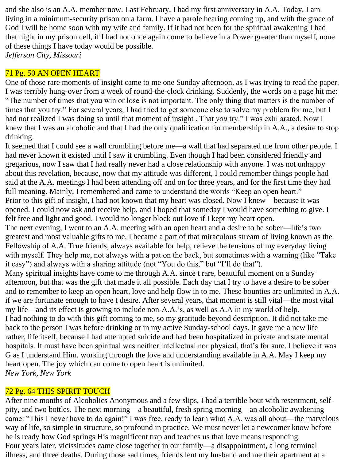and she also is an A.A. member now. Last February, I had my first anniversary in A.A. Today, I am living in a minimum-security prison on a farm. I have a parole hearing coming up, and with the grace of God I will be home soon with my wife and family. If it had not been for the spiritual awakening I had that night in my prison cell, if I had not once again come to believe in a Power greater than myself, none of these things I have today would be possible.

*Jefferson City, Missouri* 

#### 71 Pg. 50 AN OPEN HEART

One of those rare moments of insight came to me one Sunday afternoon, as I was trying to read the paper. I was terribly hung-over from a week of round-the-clock drinking. Suddenly, the words on a page hit me: "The number of times that you win or lose is not important. The only thing that matters is the number of times that you try." For several years, I had tried to get someone else to solve my problem for me, but I had not realized I was doing so until that moment of insight . That *you* try." I was exhilarated. Now I knew that I was an alcoholic and that I had the only qualification for membership in A.A., a desire to stop drinking.

It seemed that I could see a wall crumbling before me—a wall that had separated me from other people. I had never known it existed until I saw it crumbling. Even though I had been considered friendly and gregarious, now I saw that I had really never had a close relationship with anyone. I was not unhappy about this revelation, because, now that my attitude was different, I could remember things people had said at the A.A. meetings I had been attending off and on for three years, and for the first time they had full meaning. Mainly, I remembered and came to understand the words "Keep an open heart." Prior to this gift of insight, I had not known that my heart was closed. Now I knew—because it was opened. I could now ask and receive help, and I hoped that someday I would have something to give. I felt free and light and good. I would no longer block out love if I kept my heart open. The next evening, I went to an A.A. meeting with an open heart and a desire to be sober—life's two greatest and most valuable gifts to me. I became a part of that miraculous stream of living known as the Fellowship of A.A. True friends, always available for help, relieve the tensions of my everyday living with myself. They help me, not always with a pat on the back, but sometimes with a warning (like "Take it easy") and always with a sharing attitude (not "You do this," but "I'll do that"). Many spiritual insights have come to me through A.A. since t rare, beautiful moment on a Sunday afternoon, but that was the gift that made it all possible. Each day that I try to have a desire to be sober and to remember to keep an open heart, love and help flow in to me. These bounties are unlimited in A.A. if we are fortunate enough to have t desire. After several years, that moment is still vital—the most vital my life—and its effect is growing to include non-A.A.'s, as well as A.A in my world of help. I had nothing to do with this gift coming to me, so my gratitude beyond description. It did not take me back to the person I was before drinking or in my active Sunday-school days. It gave me a new life rather, life itself, because I had attempted suicide and had been hospitalized in private and state mental hospitals. It must have been spiritual was neither intellectual nor physical, that's for sure. I believe it was G as I understand Him, working through the love and understanding available in A.A. May I keep my heart open. The joy which can come to open heart is unlimited. *New York, New York* 

# 72 Pg. 64 THIS SPIRIT TOUCH

After nine months of Alcoholics Anonymous and a few slips, I had a terrible bout with resentment, selfpity, and two bottles. The next morning—a beautiful, fresh spring morning—an alcoholic awakening came: "This I never have to do again!" I was free, ready to learn what A.A. was all about—the marvelous way of life, so simple in structure, so profound in practice. We must never let a newcomer know before he is ready how God springs His magnificent trap and teaches us that love means responding. Four years later, vicissitudes came close together in our family—a disappointment, a long terminal illness, and three deaths. During those sad times, friends lent my husband and me their apartment at a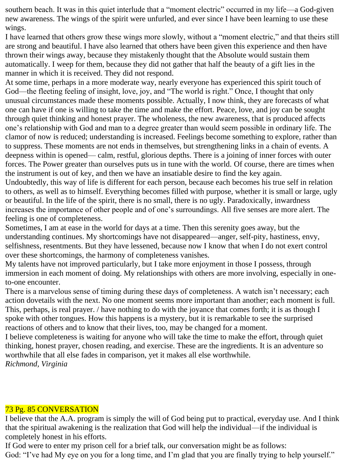southern beach. It was in this quiet interlude that a "moment electric" occurred in my life—a God-given new awareness. The wings of the spirit were unfurled, and ever since I have been learning to use these wings.

I have learned that others grow these wings more slowly, without a "moment electric," and that theirs still are strong and beautiful. I have also learned that others have been given this experience and then have thrown their wings away, because they mistakenly thought that the Absolute would sustain them automatically. I weep for them, because they did not gather that half the beauty of a gift lies in the manner in which it is received. They did not respond.

At some time, perhaps in a more moderate way, nearly everyone has experienced this spirit touch of God—the fleeting feeling of insight, love, joy, and "The world is right." Once, I thought that only unusual circumstances made these moments possible. Actually, I now think, they are forecasts of what one can have if one is willing to take the time and make the effort. Peace, love, and joy can be sought through quiet thinking and honest prayer. The wholeness, the new awareness, that is produced affects one's relationship with God and man to a degree greater than would seem possible in ordinary life. The clamor of now is reduced; understanding is increased. Feelings become something to explore, rather than to suppress. These moments are not ends in themselves, but strengthening links in a chain of events. A deepness within is opened— calm, restful, glorious depths. There is a joining of inner forces with outer forces. The Power greater than ourselves puts us in tune with the world. Of course, there are times when the instrument is out of key, and then we have an insatiable desire to find the key again.

Undoubtedly, this way of life is different for each person, because each becomes his true self in relation to others, as well as to himself. Everything becomes filled with purpose, whether it is small or large, ugly or beautiful. In the life of the spirit, there is no small, there is no ugly. Paradoxically, inwardness increases the importance of other people and of one's surroundings. All five senses are more alert. The feeling is one of completeness.

Sometimes, I am at ease in the world for days at a time. Then this serenity goes away, but the understanding continues. My shortcomings have not disappeared—anger, self-pity, hastiness, envy, selfishness, resentments. But they have lessened, because now I know that when I do not exert control over these shortcomings, the harmony of completeness vanishes.

My talents have not improved particularly, but I take more enjoyment in those I possess, through immersion in each moment of doing. My relationships with others are more involving, especially in oneto-one encounter.

There is a marvelous sense of timing during these days of completeness. A watch isn't necessary; each action dovetails with the next. No one moment seems more important than another; each moment is full. This, perhaps, is real prayer. / have nothing to do with the joyance that comes forth; it is as though I spoke with other tongues. How this happens is a mystery, but it is remarkable to see the surprised reactions of others and to know that their lives, too, may be changed for a moment.

I believe completeness is waiting for anyone who will take the time to make the effort, through quiet thinking, honest prayer, chosen reading, and exercise. These are the ingredients. It is an adventure so worthwhile that all else fades in comparison, yet it makes all else worthwhile. *Richmond, Virginia* 

#### 73 Pg. 85 CONVERSATION

I believe that the A.A. program is simply the will of God being put to practical, everyday use. And I think that the spiritual awakening is the realization that God will help the individual—if the individual is completely honest in his efforts.

If God were to enter my prison cell for a brief talk, our conversation might be as follows:

God: "I've had My eye on you for a long time, and I'm glad that you are finally trying to help yourself."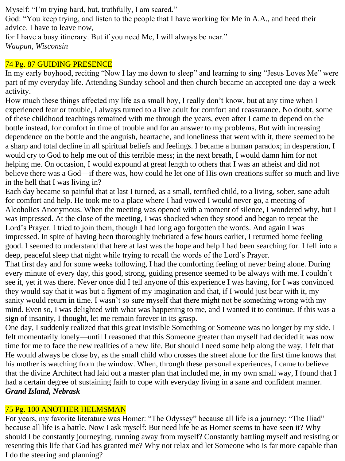Myself: "I'm trying hard, but, truthfully, I am scared." God: "You keep trying, and listen to the people that I have working for Me in A.A., and heed their advice. I have to leave now, for I have a busy itinerary. But if you need Me, I will always be near." *Waupun, Wisconsin* 

#### 74 Pg. 87 GUIDING PRESENCE

In my early boyhood, reciting "Now I lay me down to sleep" and learning to sing "Jesus Loves Me" were part of my everyday life. Attending Sunday school and then church became an accepted one-day-a-week activity.

How much these things affected my life as a small boy, I really don't know, but at any time when I experienced fear or trouble, I always turned to a live adult for comfort and reassurance. No doubt, some of these childhood teachings remained with me through the years, even after I came to depend on the bottle instead, for comfort in time of trouble and for an answer to my problems. But with increasing dependence on the bottle and the anguish, heartache, and loneliness that went with it, there seemed to be a sharp and total decline in all spiritual beliefs and feelings. I became a human paradox; in desperation, I would cry to God to help me out of this terrible mess; in the next breath, I would damn him for not helping me. On occasion, I would expound at great length to others that I was an atheist and did not believe there was a God—if there was, how could he let one of His own creations suffer so much and live in the hell that I was living in?

Each day became so painful that at last I turned, as a small, terrified child, to a living, sober, sane adult for comfort and help. He took me to a place where I had vowed I would never go, a meeting of Alcoholics Anonymous. When the meeting was opened with a moment of silence, I wondered why, but I was impressed. At the close of the meeting, I was shocked when they stood and began to repeat the Lord's Prayer. I tried to join them, though I had long ago forgotten the words. And again I was impressed. In spite of having been thoroughly inebriated a few hours earlier, I returned home feeling good. I seemed to understand that here at last was the hope and help I had been searching for. I fell into a deep, peaceful sleep that night while trying to recall the words of the Lord's Prayer.

That first day and for some weeks following, I had the comforting feeling of never being alone. During every minute of every day, this good, strong, guiding presence seemed to be always with me. I couldn't see it, yet it was there. Never once did I tell anyone of this experience I was having, for I was convinced they would say that it was but a figment of my imagination and that, if I would just bear with it, my sanity would return in time. I wasn't so sure myself that there might not be something wrong with my mind. Even so, I was delighted with what was happening to me, and I wanted it to continue. If this was a sign of insanity, I thought, let me remain forever in its grasp.

One day, I suddenly realized that this great invisible Something or Someone was no longer by my side. I felt momentarily lonely—until I reasoned that this Someone greater than myself had decided it was now time for me to face the new realities of a new life. But should I need some help along the way, I felt that He would always be close by, as the small child who crosses the street alone for the first time knows that his mother is watching from the window. When, through these personal experiences, I came to believe that the divine Architect had laid out a master plan that included me, in my own small way, I found that I had a certain degree of sustaining faith to cope with everyday living in a sane and confident manner. *Grand Island, Nebrask*

#### 75 Pg. 100 ANOTHER HELMSMAN

For years, my favorite literature was Homer: "The Odyssey" because all life is a journey; "The Iliad" because all life is a battle. Now I ask myself: But need life be as Homer seems to have seen it? Why should I be constantly journeying, running away from myself? Constantly battling myself and resisting or resenting this life that God has granted me? Why not relax and let Someone who is far more capable than I do the steering and planning?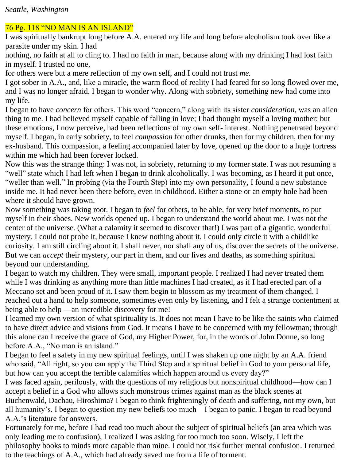# 76 Pg. 118 "NO MAN IS AN ISLAND"

I was spiritually bankrupt long before A.A. entered my life and long before alcoholism took over like a parasite under my skin. I had

nothing, no faith at all to cling to. I had no faith in man, because along with my drinking I had lost faith in myself. I trusted no one,

for others were but a mere reflection of my own self, and I could not trust *me.* 

I got sober in A.A., and, like a miracle, the warm flood of reality I had feared for so long flowed over me, and I was no longer afraid. I began to wonder why. Along with sobriety, something new had come into my life.

I began to have *concern* for others. This word "concern," along with its sister *consideration,* was an alien thing to me. I had believed myself capable of falling in love; I had thought myself a loving mother; but these emotions, I now perceive, had been reflections of my own self- interest. Nothing penetrated beyond myself. I began, in early sobriety, to feel *compassion* for other drunks, then for my children, then for my ex-husband. This compassion, a feeling accompanied later by love, opened up the door to a huge fortress within me which had been forever locked.

Now this was the strange thing: I was not, in sobriety, returning to my former state. I was not resuming a "well" state which I had left when I began to drink alcoholically. I was becoming, as I heard it put once, "weller than well." In probing (via the Fourth Step) into my own personality, I found a new substance inside me. It had never been there before, even in childhood. Either a stone or an empty hole had been where it should have grown.

Now something was taking root. I began to *feel* for others, to be able, for very brief moments, to put myself in their shoes. New worlds opened up. I began to understand the world about me. I was not the center of the universe. (What a calamity it seemed to discover that!) I was part of a gigantic, wonderful mystery. I could not probe it, because I knew nothing about it. I could only circle it with a childlike curiosity. I am still circling about it. I shall never, nor shall any of us, discover the secrets of the universe. But we can *accept* their mystery, our part in them, and our lives and deaths, as something spiritual beyond our understanding.

I began to watch my children. They were small, important people. I realized I had never treated them while I was drinking as anything more than little machines I had created, as if I had erected part of a Meccano set and been proud of it. I saw them begin to blossom as my treatment of them changed. I reached out a hand to help someone, sometimes even only by listening, and I felt a strange contentment at being able to help —an incredible discovery for me!

I learned my own version of what spirituality is. It does not mean I have to be like the saints who claimed to have direct advice and visions from God. It means I have to be concerned with my fellowman; through this alone can I receive the grace of God, my Higher Power, for, in the words of John Donne, so long before A.A., "No man is an island."

I began to feel a safety in my new spiritual feelings, until I was shaken up one night by an A.A. friend who said, "All right, so you can apply the Third Step and a spiritual belief in God to your personal life, but how can you accept the terrible calamities which happen around us every day?"

I was faced again, perilously, with the questions of my religious but nonspiritual childhood—how can I accept a belief in a God who allows such monstrous crimes against man as the black scenes at

Buchenwald, Dachau, Hiroshima? I began to think frighteningly of death and suffering, not my own, but all humanity's. I began to question my new beliefs too much—I began to panic. I began to read beyond A.A.'s literature for answers.

Fortunately for me, before I had read too much about the subject of spiritual beliefs (an area which was only leading me to confusion), I realized I was asking for too much too soon. Wisely, I left the philosophy books to minds more capable than mine. I could not risk further mental confusion. I returned to the teachings of A.A., which had already saved me from a life of torment.